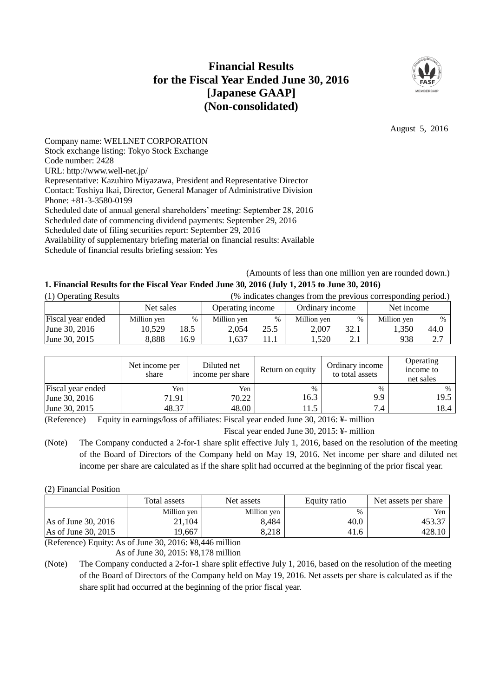# **Financial Results for the Fiscal Year Ended June 30, 2016 [Japanese GAAP] (Non-consolidated)**



August 5, 2016

Company name: WELLNET CORPORATION Stock exchange listing: Tokyo Stock Exchange Code number: 2428 URL: http://www.well-net.jp/ Representative: Kazuhiro Miyazawa, President and Representative Director Contact: Toshiya Ikai, Director, General Manager of Administrative Division Phone: +81-3-3580-0199 Scheduled date of annual general shareholders' meeting: September 28, 2016 Scheduled date of commencing dividend payments: September 29, 2016 Scheduled date of filing securities report: September 29, 2016 Availability of supplementary briefing material on financial results: Available

Schedule of financial results briefing session: Yes

(Amounts of less than one million yen are rounded down.)

# **1. Financial Results for the Fiscal Year Ended June 30, 2016 (July 1, 2015 to June 30, 2016)**

| (1) Operating Results |             | (% indicates changes from the previous corresponding period.) |                  |      |                 |      |             |      |
|-----------------------|-------------|---------------------------------------------------------------|------------------|------|-----------------|------|-------------|------|
|                       | Net sales   |                                                               | Operating income |      | Ordinary income |      | Net income  |      |
| Fiscal year ended     | Million yen | $\%$                                                          | Million yen      | $\%$ | Million yen     | $\%$ | Million yen | $\%$ |
| June 30, 2016         | 10.529      | 18.5                                                          | 2.054            | 25.5 | 2.007           | 32.1 | .350        | 44.0 |
| June 30, 2015         | 8.888       | 16.9                                                          | 1.637            |      | . .520          | 2. l | 938         | 2.7  |

|                   | Net income per<br>share | Diluted net<br>income per share | Return on equity | Ordinary income<br>to total assets | Operating<br>income to<br>net sales |
|-------------------|-------------------------|---------------------------------|------------------|------------------------------------|-------------------------------------|
| Fiscal year ended | Yen                     | Yen                             | $\%$             | $\%$                               | $\%$                                |
| June 30, 2016     | 71.91                   | 70.22                           | 16.3             | 9.9                                | 19.5                                |
| June 30, 2015     | 48.37                   | 48.00                           | 11.5             | 7.4                                | 18.4                                |

(Reference) Equity in earnings/loss of affiliates: Fiscal year ended June 30, 2016: ¥- million

Fiscal year ended June 30, 2015: ¥- million

(Note) The Company conducted a 2-for-1 share split effective July 1, 2016, based on the resolution of the meeting of the Board of Directors of the Company held on May 19, 2016. Net income per share and diluted net income per share are calculated as if the share split had occurred at the beginning of the prior fiscal year.

(2) Financial Position

|                                                                                                                                                                                                                                                                                                                   | Total assets | Net assets  | Equity ratio | Net assets per share |
|-------------------------------------------------------------------------------------------------------------------------------------------------------------------------------------------------------------------------------------------------------------------------------------------------------------------|--------------|-------------|--------------|----------------------|
|                                                                                                                                                                                                                                                                                                                   | Million yen  | Million yen | $\%$         | Yen                  |
| As of June 30, 2016                                                                                                                                                                                                                                                                                               | 21.104       | 8.484       | 40.0         | 453.37               |
| As of June 30, 2015                                                                                                                                                                                                                                                                                               | 19.667       | 8,218       | 41.6         | 428.10               |
| $\sqrt{D}$ $\int_{0}^{L}$ $\sqrt{E}$ $\int_{0}^{L}$ $\sqrt{E}$ $\int_{0}^{L}$ $\sqrt{E}$ $\int_{0}^{L}$ $\sqrt{E}$ $\int_{0}^{L}$ $\sqrt{E}$ $\int_{0}^{L}$ $\sqrt{E}$ $\int_{0}^{L}$ $\sqrt{E}$ $\int_{0}^{L}$ $\sqrt{E}$ $\int_{0}^{L}$ $\sqrt{E}$ $\int_{0}^{L}$ $\sqrt{E}$ $\int_{0}^{L}$ $\sqrt{E}$ $\int_{$ |              |             |              |                      |

(Reference) Equity: As of June 30, 2016: ¥8,446 million

As of June 30, 2015: ¥8,178 million

(Note) The Company conducted a 2-for-1 share split effective July 1, 2016, based on the resolution of the meeting of the Board of Directors of the Company held on May 19, 2016. Net assets per share is calculated as if the share split had occurred at the beginning of the prior fiscal year.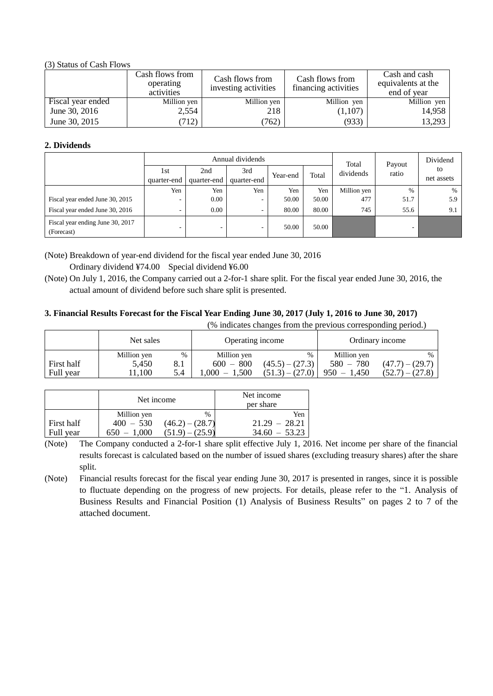(3) Status of Cash Flows

|                   | Cash flows from<br>operating<br>activities | Cash flows from<br>investing activities | Cash flows from<br>financing activities | Cash and cash<br>equivalents at the<br>end of year |
|-------------------|--------------------------------------------|-----------------------------------------|-----------------------------------------|----------------------------------------------------|
| Fiscal year ended | Million yen                                | Million yen                             | Million yen                             | Million yen                                        |
| June 30, 2016     | 2,554                                      | 218                                     | (1,107)                                 | 14,958                                             |
| June 30, 2015     | (712)                                      | 762)                                    | (933)                                   | 13,293                                             |

# **2. Dividends**

| Annual dividends                               |                    |                    |                    |          | Total | Payout      | Dividend        |                  |
|------------------------------------------------|--------------------|--------------------|--------------------|----------|-------|-------------|-----------------|------------------|
|                                                | 1st<br>quarter-end | 2nd<br>quarter-end | 3rd<br>quarter-end | Year-end | Total | dividends   | ratio           | to<br>net assets |
|                                                | Yen                | Yen                | Yen                | Yen      | Yen   | Million yen | $\%$            | $\%$             |
| Fiscal year ended June 30, 2015                | -                  | 0.00               | ۰.                 | 50.00    | 50.00 | 477         | 51.7            | 5.9              |
| Fiscal year ended June 30, 2016                | $\sim$             | 0.00               | ۰                  | 80.00    | 80.00 | 745         | 55.6            | 9.1              |
| Fiscal year ending June 30, 2017<br>(Forecast) | -                  |                    | -                  | 50.00    | 50.00 |             | $\qquad \qquad$ |                  |

(Note) Breakdown of year-end dividend for the fiscal year ended June 30, 2016 Ordinary dividend ¥74.00 Special dividend ¥6.00

(Note) On July 1, 2016, the Company carried out a 2-for-1 share split. For the fiscal year ended June 30, 2016, the actual amount of dividend before such share split is presented.

# **3. Financial Results Forecast for the Fiscal Year Ending June 30, 2017 (July 1, 2016 to June 30, 2017)**

(% indicates changes from the previous corresponding period.)

|                         | Net sales                    |                 | Operating income                                |                                                |                                             | Ordinary income                                |
|-------------------------|------------------------------|-----------------|-------------------------------------------------|------------------------------------------------|---------------------------------------------|------------------------------------------------|
| First half<br>Full year | Million yen<br>5.450<br>.100 | %<br>8.1<br>5.4 | Million yen<br>$600 - 800$<br>1.500<br>$.000 -$ | $\%$<br>$(45.5) - (27.3)$<br>$(51.3) - (27.0)$ | Million yen<br>$580 - 780$<br>$950 - 1.450$ | $\%$<br>$(47.7) - (29.7)$<br>$(52.7) - (27.8)$ |

|            | Net income                 |                           | Net income<br>per share |
|------------|----------------------------|---------------------------|-------------------------|
| First half | Million yen<br>$400 - 530$ | $\%$<br>$(46.2) - (28.7)$ | Yen<br>$21.29 - 28.21$  |
| Full year  | $650 - 1.000$              | (51.9)                    | $34.60 - 53.23$         |

(Note) The Company conducted a 2-for-1 share split effective July 1, 2016. Net income per share of the financial results forecast is calculated based on the number of issued shares (excluding treasury shares) after the share split.

(Note) Financial results forecast for the fiscal year ending June 30, 2017 is presented in ranges, since it is possible to fluctuate depending on the progress of new projects. For details, please refer to the "1. Analysis of Business Results and Financial Position (1) Analysis of Business Results" on pages 2 to 7 of the attached document.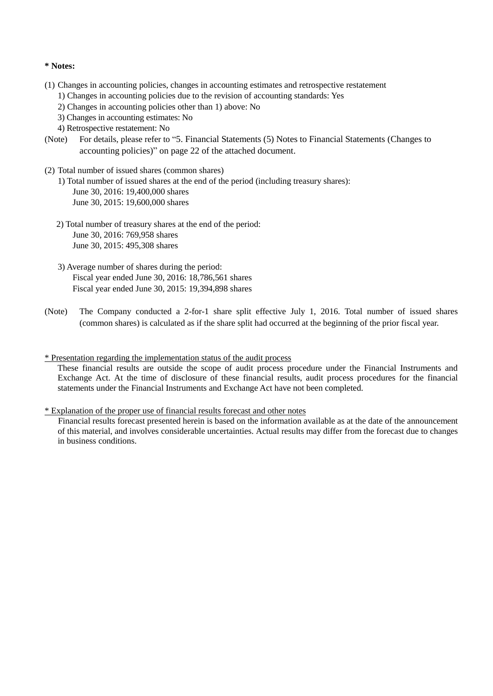# **\* Notes:**

- (1) Changes in accounting policies, changes in accounting estimates and retrospective restatement
	- 1) Changes in accounting policies due to the revision of accounting standards: Yes
	- 2) Changes in accounting policies other than 1) above: No
	- 3) Changes in accounting estimates: No
	- 4) Retrospective restatement: No
- (Note) For details, please refer to "5. Financial Statements (5) Notes to Financial Statements (Changes to accounting policies)" on page 22 of the attached document.
- (2) Total number of issued shares (common shares)
	- 1) Total number of issued shares at the end of the period (including treasury shares): June 30, 2016: 19,400,000 shares June 30, 2015: 19,600,000 shares
	- 2) Total number of treasury shares at the end of the period: June 30, 2016: 769,958 shares June 30, 2015: 495,308 shares
	- 3) Average number of shares during the period: Fiscal year ended June 30, 2016: 18,786,561 shares Fiscal year ended June 30, 2015: 19,394,898 shares
- (Note) The Company conducted a 2-for-1 share split effective July 1, 2016. Total number of issued shares (common shares) is calculated as if the share split had occurred at the beginning of the prior fiscal year.
- \* Presentation regarding the implementation status of the audit process

These financial results are outside the scope of audit process procedure under the Financial Instruments and Exchange Act. At the time of disclosure of these financial results, audit process procedures for the financial statements under the Financial Instruments and Exchange Act have not been completed.

\* Explanation of the proper use of financial results forecast and other notes

Financial results forecast presented herein is based on the information available as at the date of the announcement of this material, and involves considerable uncertainties. Actual results may differ from the forecast due to changes in business conditions.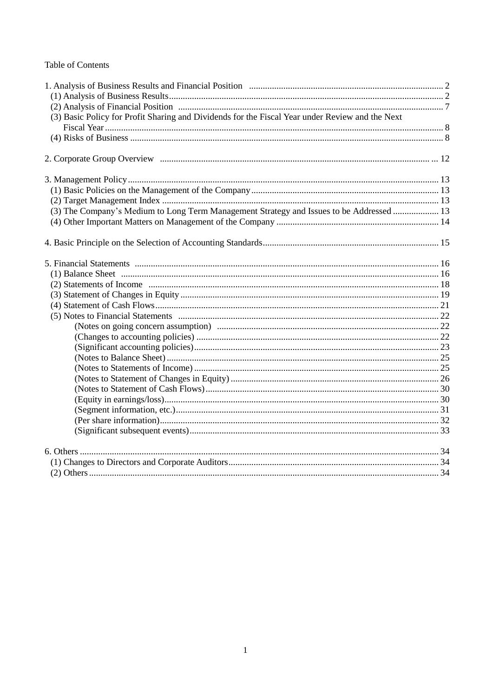# Table of Contents

| (3) Basic Policy for Profit Sharing and Dividends for the Fiscal Year under Review and the Next |  |
|-------------------------------------------------------------------------------------------------|--|
|                                                                                                 |  |
|                                                                                                 |  |
|                                                                                                 |  |
|                                                                                                 |  |
|                                                                                                 |  |
|                                                                                                 |  |
|                                                                                                 |  |
|                                                                                                 |  |
| (3) The Company's Medium to Long Term Management Strategy and Issues to be Addressed  13        |  |
|                                                                                                 |  |
|                                                                                                 |  |
|                                                                                                 |  |
|                                                                                                 |  |
|                                                                                                 |  |
|                                                                                                 |  |
|                                                                                                 |  |
|                                                                                                 |  |
|                                                                                                 |  |
|                                                                                                 |  |
|                                                                                                 |  |
|                                                                                                 |  |
|                                                                                                 |  |
|                                                                                                 |  |
|                                                                                                 |  |
|                                                                                                 |  |
|                                                                                                 |  |
|                                                                                                 |  |
|                                                                                                 |  |
|                                                                                                 |  |
|                                                                                                 |  |
|                                                                                                 |  |
|                                                                                                 |  |
|                                                                                                 |  |
|                                                                                                 |  |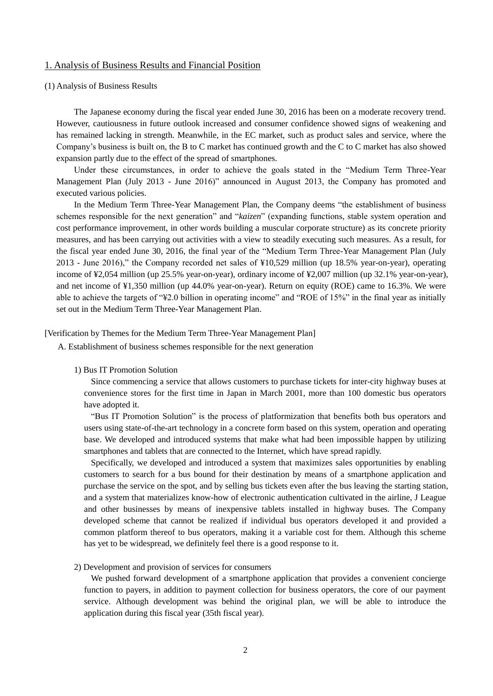# 1. Analysis of Business Results and Financial Position

#### (1) Analysis of Business Results

The Japanese economy during the fiscal year ended June 30, 2016 has been on a moderate recovery trend. However, cautiousness in future outlook increased and consumer confidence showed signs of weakening and has remained lacking in strength. Meanwhile, in the EC market, such as product sales and service, where the Company's business is built on, the B to C market has continued growth and the C to C market has also showed expansion partly due to the effect of the spread of smartphones.

Under these circumstances, in order to achieve the goals stated in the "Medium Term Three-Year Management Plan (July 2013 - June 2016)" announced in August 2013, the Company has promoted and executed various policies.

In the Medium Term Three-Year Management Plan, the Company deems "the establishment of business schemes responsible for the next generation" and "*kaizen*" (expanding functions, stable system operation and cost performance improvement, in other words building a muscular corporate structure) as its concrete priority measures, and has been carrying out activities with a view to steadily executing such measures. As a result, for the fiscal year ended June 30, 2016, the final year of the "Medium Term Three-Year Management Plan (July 2013 - June 2016)," the Company recorded net sales of ¥10,529 million (up 18.5% year-on-year), operating income of ¥2,054 million (up 25.5% year-on-year), ordinary income of ¥2,007 million (up 32.1% year-on-year), and net income of ¥1,350 million (up 44.0% year-on-year). Return on equity (ROE) came to 16.3%. We were able to achieve the targets of "¥2.0 billion in operating income" and "ROE of 15%" in the final year as initially set out in the Medium Term Three-Year Management Plan.

# [Verification by Themes for the Medium Term Three-Year Management Plan]

A. Establishment of business schemes responsible for the next generation

### 1) Bus IT Promotion Solution

Since commencing a service that allows customers to purchase tickets for inter-city highway buses at convenience stores for the first time in Japan in March 2001, more than 100 domestic bus operators have adopted it.

"Bus IT Promotion Solution" is the process of platformization that benefits both bus operators and users using state-of-the-art technology in a concrete form based on this system, operation and operating base. We developed and introduced systems that make what had been impossible happen by utilizing smartphones and tablets that are connected to the Internet, which have spread rapidly.

Specifically, we developed and introduced a system that maximizes sales opportunities by enabling customers to search for a bus bound for their destination by means of a smartphone application and purchase the service on the spot, and by selling bus tickets even after the bus leaving the starting station, and a system that materializes know-how of electronic authentication cultivated in the airline, J League and other businesses by means of inexpensive tablets installed in highway buses. The Company developed scheme that cannot be realized if individual bus operators developed it and provided a common platform thereof to bus operators, making it a variable cost for them. Although this scheme has yet to be widespread, we definitely feel there is a good response to it.

# 2) Development and provision of services for consumers

We pushed forward development of a smartphone application that provides a convenient concierge function to payers, in addition to payment collection for business operators, the core of our payment service. Although development was behind the original plan, we will be able to introduce the application during this fiscal year (35th fiscal year).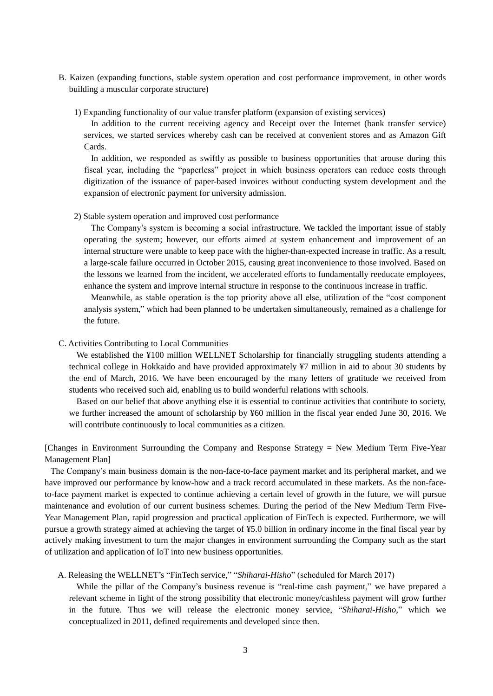- B. Kaizen (expanding functions, stable system operation and cost performance improvement, in other words building a muscular corporate structure)
	- 1) Expanding functionality of our value transfer platform (expansion of existing services)

In addition to the current receiving agency and Receipt over the Internet (bank transfer service) services, we started services whereby cash can be received at convenient stores and as Amazon Gift Cards.

In addition, we responded as swiftly as possible to business opportunities that arouse during this fiscal year, including the "paperless" project in which business operators can reduce costs through digitization of the issuance of paper-based invoices without conducting system development and the expansion of electronic payment for university admission.

2) Stable system operation and improved cost performance

The Company's system is becoming a social infrastructure. We tackled the important issue of stably operating the system; however, our efforts aimed at system enhancement and improvement of an internal structure were unable to keep pace with the higher-than-expected increase in traffic. As a result, a large-scale failure occurred in October 2015, causing great inconvenience to those involved. Based on the lessons we learned from the incident, we accelerated efforts to fundamentally reeducate employees, enhance the system and improve internal structure in response to the continuous increase in traffic.

Meanwhile, as stable operation is the top priority above all else, utilization of the "cost component analysis system," which had been planned to be undertaken simultaneously, remained as a challenge for the future.

#### C. Activities Contributing to Local Communities

We established the ¥100 million WELLNET Scholarship for financially struggling students attending a technical college in Hokkaido and have provided approximately ¥7 million in aid to about 30 students by the end of March, 2016. We have been encouraged by the many letters of gratitude we received from students who received such aid, enabling us to build wonderful relations with schools.

Based on our belief that above anything else it is essential to continue activities that contribute to society, we further increased the amount of scholarship by ¥60 million in the fiscal year ended June 30, 2016. We will contribute continuously to local communities as a citizen.

[Changes in Environment Surrounding the Company and Response Strategy = New Medium Term Five-Year Management Plan]

The Company's main business domain is the non-face-to-face payment market and its peripheral market, and we have improved our performance by know-how and a track record accumulated in these markets. As the non-faceto-face payment market is expected to continue achieving a certain level of growth in the future, we will pursue maintenance and evolution of our current business schemes. During the period of the New Medium Term Five-Year Management Plan, rapid progression and practical application of FinTech is expected. Furthermore, we will pursue a growth strategy aimed at achieving the target of ¥5.0 billion in ordinary income in the final fiscal year by actively making investment to turn the major changes in environment surrounding the Company such as the start of utilization and application of IoT into new business opportunities.

A. Releasing the WELLNET's "FinTech service," "*Shiharai-Hisho*" (scheduled for March 2017)

While the pillar of the Company's business revenue is "real-time cash payment," we have prepared a relevant scheme in light of the strong possibility that electronic money/cashless payment will grow further in the future. Thus we will release the electronic money service, "*Shiharai-Hisho,*" which we conceptualized in 2011, defined requirements and developed since then.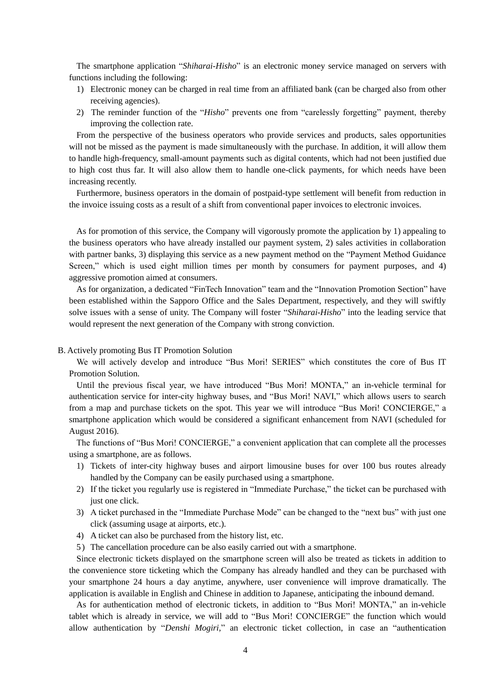The smartphone application "*Shiharai-Hisho*" is an electronic money service managed on servers with functions including the following:

- 1) Electronic money can be charged in real time from an affiliated bank (can be charged also from other receiving agencies).
- 2) The reminder function of the "*Hisho*" prevents one from "carelessly forgetting" payment, thereby improving the collection rate.

From the perspective of the business operators who provide services and products, sales opportunities will not be missed as the payment is made simultaneously with the purchase. In addition, it will allow them to handle high-frequency, small-amount payments such as digital contents, which had not been justified due to high cost thus far. It will also allow them to handle one-click payments, for which needs have been increasing recently.

Furthermore, business operators in the domain of postpaid-type settlement will benefit from reduction in the invoice issuing costs as a result of a shift from conventional paper invoices to electronic invoices.

As for promotion of this service, the Company will vigorously promote the application by 1) appealing to the business operators who have already installed our payment system, 2) sales activities in collaboration with partner banks, 3) displaying this service as a new payment method on the "Payment Method Guidance Screen," which is used eight million times per month by consumers for payment purposes, and 4) aggressive promotion aimed at consumers.

As for organization, a dedicated "FinTech Innovation" team and the "Innovation Promotion Section" have been established within the Sapporo Office and the Sales Department, respectively, and they will swiftly solve issues with a sense of unity. The Company will foster "*Shiharai-Hisho*" into the leading service that would represent the next generation of the Company with strong conviction.

# B. Actively promoting Bus IT Promotion Solution

We will actively develop and introduce "Bus Mori! SERIES" which constitutes the core of Bus IT Promotion Solution.

Until the previous fiscal year, we have introduced "Bus Mori! MONTA," an in-vehicle terminal for authentication service for inter-city highway buses, and "Bus Mori! NAVI," which allows users to search from a map and purchase tickets on the spot. This year we will introduce "Bus Mori! CONCIERGE," a smartphone application which would be considered a significant enhancement from NAVI (scheduled for August 2016).

The functions of "Bus Mori! CONCIERGE," a convenient application that can complete all the processes using a smartphone, are as follows.

- 1) Tickets of inter-city highway buses and airport limousine buses for over 100 bus routes already handled by the Company can be easily purchased using a smartphone.
- 2) If the ticket you regularly use is registered in "Immediate Purchase," the ticket can be purchased with just one click.
- 3) A ticket purchased in the "Immediate Purchase Mode" can be changed to the "next bus" with just one click (assuming usage at airports, etc.).
- 4) A ticket can also be purchased from the history list, etc.
- 5) The cancellation procedure can be also easily carried out with a smartphone.

Since electronic tickets displayed on the smartphone screen will also be treated as tickets in addition to the convenience store ticketing which the Company has already handled and they can be purchased with your smartphone 24 hours a day anytime, anywhere, user convenience will improve dramatically. The application is available in English and Chinese in addition to Japanese, anticipating the inbound demand.

As for authentication method of electronic tickets, in addition to "Bus Mori! MONTA," an in-vehicle tablet which is already in service, we will add to "Bus Mori! CONCIERGE" the function which would allow authentication by "*Denshi Mogiri,*" an electronic ticket collection, in case an "authentication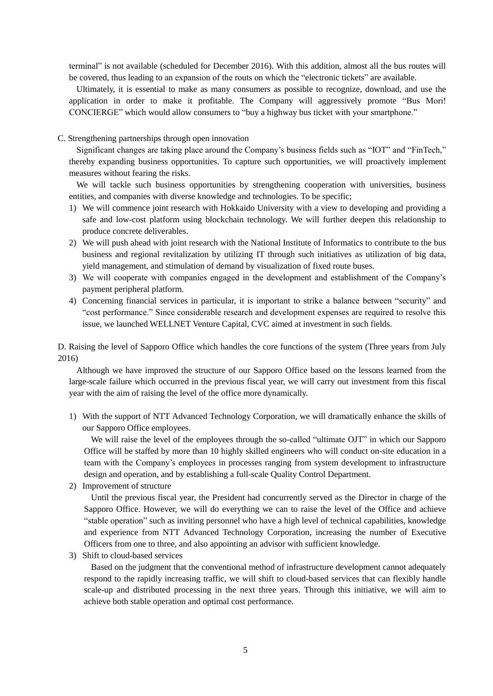terminal" is not available (scheduled for December 2016). With this addition, almost all the bus routes will be covered, thus leading to an expansion of the routs on which the "electronic tickets" are available.

Ultimately, it is essential to make as many consumers as possible to recognize, download, and use the application in order to make it profitable. The Company will aggressively promote "Bus Mori! CONCIERGE" which would allow consumers to "buy a highway bus ticket with your smartphone."

### C. Strengthening partnerships through open innovation

Significant changes are taking place around the Company's business fields such as "IOT" and "FinTech," thereby expanding business opportunities. To capture such opportunities, we will proactively implement measures without fearing the risks.

We will tackle such business opportunities by strengthening cooperation with universities, business entities, and companies with diverse knowledge and technologies. To be specific;

- 1) We will commence joint research with Hokkaido University with a view to developing and providing a safe and low-cost platform using blockchain technology. We will further deepen this relationship to produce concrete deliverables.
- 2) We will push ahead with joint research with the National Institute of Informatics to contribute to the bus business and regional revitalization by utilizing IT through such initiatives as utilization of big data, yield management, and stimulation of demand by visualization of fixed route buses.
- 3) We will cooperate with companies engaged in the development and establishment of the Company's payment peripheral platform.
- 4) Concerning financial services in particular, it is important to strike a balance between "security" and "cost performance." Since considerable research and development expenses are required to resolve this issue, we launched WELLNET Venture Capital, CVC aimed at investment in such fields.

D. Raising the level of Sapporo Office which handles the core functions of the system (Three years from July 2016)

Although we have improved the structure of our Sapporo Office based on the lessons learned from the large-scale failure which occurred in the previous fiscal year, we will carry out investment from this fiscal year with the aim of raising the level of the office more dynamically.

1) With the support of NTT Advanced Technology Corporation, we will dramatically enhance the skills of our Sapporo Office employees.

We will raise the level of the employees through the so-called "ultimate OJT" in which our Sapporo Office will be staffed by more than 10 highly skilled engineers who will conduct on-site education in a team with the Company's employees in processes ranging from system development to infrastructure design and operation, and by establishing a full-scale Quality Control Department.

2) Improvement of structure

Until the previous fiscal year, the President had concurrently served as the Director in charge of the Sapporo Office. However, we will do everything we can to raise the level of the Office and achieve "stable operation" such as inviting personnel who have a high level of technical capabilities, knowledge and experience from NTT Advanced Technology Corporation, increasing the number of Executive Officers from one to three, and also appointing an advisor with sufficient knowledge.

3) Shift to cloud-based services

Based on the judgment that the conventional method of infrastructure development cannot adequately respond to the rapidly increasing traffic, we will shift to cloud-based services that can flexibly handle scale-up and distributed processing in the next three years. Through this initiative, we will aim to achieve both stable operation and optimal cost performance.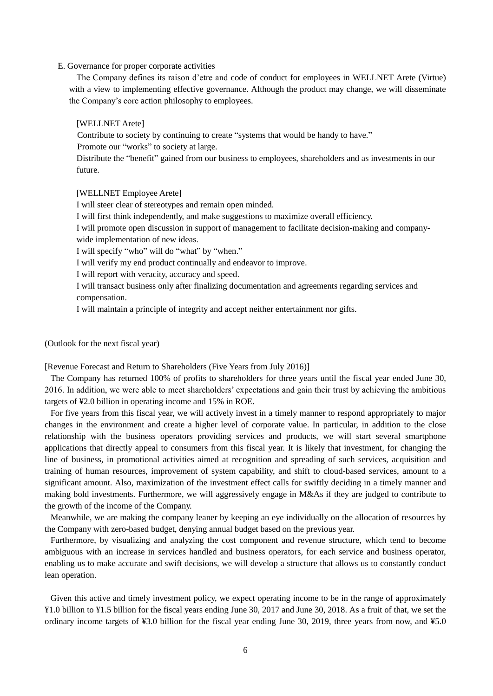### E. Governance for proper corporate activities

The Company defines its raison d'etre and code of conduct for employees in WELLNET Arete (Virtue) with a view to implementing effective governance. Although the product may change, we will disseminate the Company's core action philosophy to employees.

# [WELLNET Arete]

Contribute to society by continuing to create "systems that would be handy to have."

Promote our "works" to society at large.

Distribute the "benefit" gained from our business to employees, shareholders and as investments in our future.

#### [WELLNET Employee Arete]

I will steer clear of stereotypes and remain open minded.

I will first think independently, and make suggestions to maximize overall efficiency.

I will promote open discussion in support of management to facilitate decision-making and companywide implementation of new ideas.

I will specify "who" will do "what" by "when."

I will verify my end product continually and endeavor to improve.

I will report with veracity, accuracy and speed.

I will transact business only after finalizing documentation and agreements regarding services and compensation.

I will maintain a principle of integrity and accept neither entertainment nor gifts.

(Outlook for the next fiscal year)

[Revenue Forecast and Return to Shareholders (Five Years from July 2016)]

The Company has returned 100% of profits to shareholders for three years until the fiscal year ended June 30, 2016. In addition, we were able to meet shareholders' expectations and gain their trust by achieving the ambitious targets of ¥2.0 billion in operating income and 15% in ROE.

For five years from this fiscal year, we will actively invest in a timely manner to respond appropriately to major changes in the environment and create a higher level of corporate value. In particular, in addition to the close relationship with the business operators providing services and products, we will start several smartphone applications that directly appeal to consumers from this fiscal year. It is likely that investment, for changing the line of business, in promotional activities aimed at recognition and spreading of such services, acquisition and training of human resources, improvement of system capability, and shift to cloud-based services, amount to a significant amount. Also, maximization of the investment effect calls for swiftly deciding in a timely manner and making bold investments. Furthermore, we will aggressively engage in M&As if they are judged to contribute to the growth of the income of the Company.

Meanwhile, we are making the company leaner by keeping an eye individually on the allocation of resources by the Company with zero-based budget, denying annual budget based on the previous year.

Furthermore, by visualizing and analyzing the cost component and revenue structure, which tend to become ambiguous with an increase in services handled and business operators, for each service and business operator, enabling us to make accurate and swift decisions, we will develop a structure that allows us to constantly conduct lean operation.

Given this active and timely investment policy, we expect operating income to be in the range of approximately ¥1.0 billion to ¥1.5 billion for the fiscal years ending June 30, 2017 and June 30, 2018. As a fruit of that, we set the ordinary income targets of ¥3.0 billion for the fiscal year ending June 30, 2019, three years from now, and ¥5.0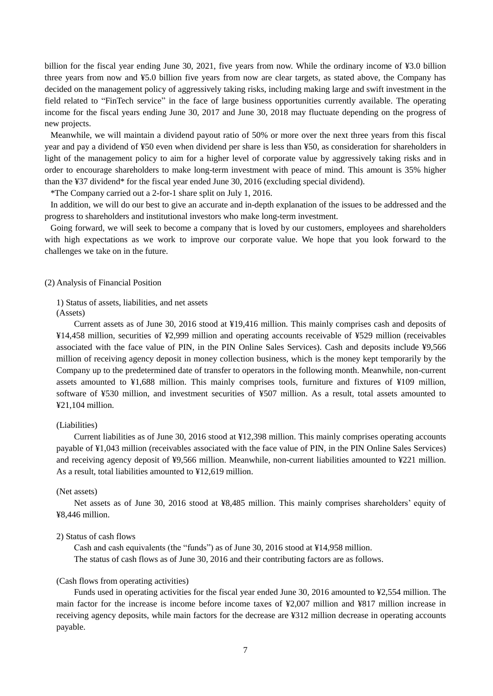billion for the fiscal year ending June 30, 2021, five years from now. While the ordinary income of ¥3.0 billion three years from now and ¥5.0 billion five years from now are clear targets, as stated above, the Company has decided on the management policy of aggressively taking risks, including making large and swift investment in the field related to "FinTech service" in the face of large business opportunities currently available. The operating income for the fiscal years ending June 30, 2017 and June 30, 2018 may fluctuate depending on the progress of new projects.

Meanwhile, we will maintain a dividend payout ratio of 50% or more over the next three years from this fiscal year and pay a dividend of ¥50 even when dividend per share is less than ¥50, as consideration for shareholders in light of the management policy to aim for a higher level of corporate value by aggressively taking risks and in order to encourage shareholders to make long-term investment with peace of mind. This amount is 35% higher than the ¥37 dividend\* for the fiscal year ended June 30, 2016 (excluding special dividend).

\*The Company carried out a 2-for-1 share split on July 1, 2016.

In addition, we will do our best to give an accurate and in-depth explanation of the issues to be addressed and the progress to shareholders and institutional investors who make long-term investment.

Going forward, we will seek to become a company that is loved by our customers, employees and shareholders with high expectations as we work to improve our corporate value. We hope that you look forward to the challenges we take on in the future.

#### (2) Analysis of Financial Position

1) Status of assets, liabilities, and net assets (Assets)

Current assets as of June 30, 2016 stood at ¥19,416 million. This mainly comprises cash and deposits of ¥14,458 million, securities of ¥2,999 million and operating accounts receivable of ¥529 million (receivables associated with the face value of PIN, in the PIN Online Sales Services). Cash and deposits include ¥9,566 million of receiving agency deposit in money collection business, which is the money kept temporarily by the Company up to the predetermined date of transfer to operators in the following month. Meanwhile, non-current assets amounted to ¥1,688 million. This mainly comprises tools, furniture and fixtures of ¥109 million, software of ¥530 million, and investment securities of ¥507 million. As a result, total assets amounted to ¥21,104 million.

# (Liabilities)

Current liabilities as of June 30, 2016 stood at ¥12,398 million. This mainly comprises operating accounts payable of ¥1,043 million (receivables associated with the face value of PIN, in the PIN Online Sales Services) and receiving agency deposit of ¥9,566 million. Meanwhile, non-current liabilities amounted to ¥221 million. As a result, total liabilities amounted to ¥12,619 million.

# (Net assets)

Net assets as of June 30, 2016 stood at ¥8,485 million. This mainly comprises shareholders' equity of ¥8,446 million.

# 2) Status of cash flows

Cash and cash equivalents (the "funds") as of June 30, 2016 stood at  $\frac{1}{4}14.958$  million. The status of cash flows as of June 30, 2016 and their contributing factors are as follows.

#### (Cash flows from operating activities)

Funds used in operating activities for the fiscal year ended June 30, 2016 amounted to ¥2,554 million. The main factor for the increase is income before income taxes of ¥2,007 million and ¥817 million increase in receiving agency deposits, while main factors for the decrease are ¥312 million decrease in operating accounts payable.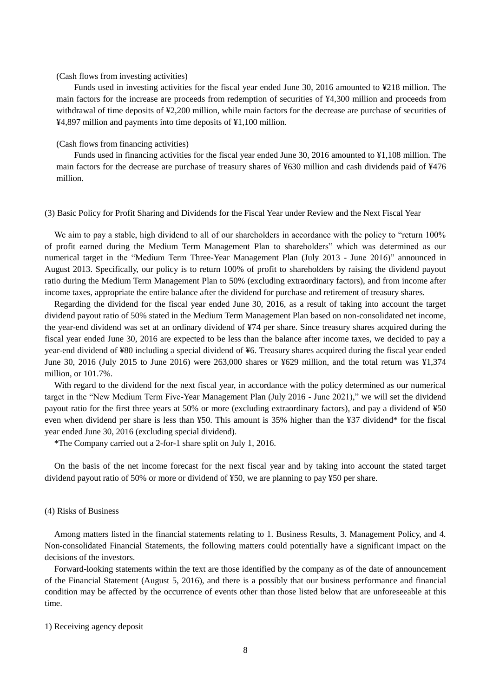# (Cash flows from investing activities)

Funds used in investing activities for the fiscal year ended June 30, 2016 amounted to ¥218 million. The main factors for the increase are proceeds from redemption of securities of ¥4,300 million and proceeds from withdrawal of time deposits of ¥2,200 million, while main factors for the decrease are purchase of securities of ¥4,897 million and payments into time deposits of ¥1,100 million.

## (Cash flows from financing activities)

Funds used in financing activities for the fiscal year ended June 30, 2016 amounted to ¥1,108 million. The main factors for the decrease are purchase of treasury shares of ¥630 million and cash dividends paid of ¥476 million.

### (3) Basic Policy for Profit Sharing and Dividends for the Fiscal Year under Review and the Next Fiscal Year

We aim to pay a stable, high dividend to all of our shareholders in accordance with the policy to "return 100% of profit earned during the Medium Term Management Plan to shareholders" which was determined as our numerical target in the "Medium Term Three-Year Management Plan (July 2013 - June 2016)" announced in August 2013. Specifically, our policy is to return 100% of profit to shareholders by raising the dividend payout ratio during the Medium Term Management Plan to 50% (excluding extraordinary factors), and from income after income taxes, appropriate the entire balance after the dividend for purchase and retirement of treasury shares.

Regarding the dividend for the fiscal year ended June 30, 2016, as a result of taking into account the target dividend payout ratio of 50% stated in the Medium Term Management Plan based on non-consolidated net income, the year-end dividend was set at an ordinary dividend of ¥74 per share. Since treasury shares acquired during the fiscal year ended June 30, 2016 are expected to be less than the balance after income taxes, we decided to pay a year-end dividend of ¥80 including a special dividend of ¥6. Treasury shares acquired during the fiscal year ended June 30, 2016 (July 2015 to June 2016) were 263,000 shares or ¥629 million, and the total return was ¥1,374 million, or 101.7%.

With regard to the dividend for the next fiscal year, in accordance with the policy determined as our numerical target in the "New Medium Term Five-Year Management Plan (July 2016 - June 2021)," we will set the dividend payout ratio for the first three years at 50% or more (excluding extraordinary factors), and pay a dividend of ¥50 even when dividend per share is less than ¥50. This amount is 35% higher than the ¥37 dividend\* for the fiscal year ended June 30, 2016 (excluding special dividend).

\*The Company carried out a 2-for-1 share split on July 1, 2016.

On the basis of the net income forecast for the next fiscal year and by taking into account the stated target dividend payout ratio of 50% or more or dividend of ¥50, we are planning to pay ¥50 per share.

### (4) Risks of Business

Among matters listed in the financial statements relating to 1. Business Results, 3. Management Policy, and 4. Non-consolidated Financial Statements, the following matters could potentially have a significant impact on the decisions of the investors.

Forward-looking statements within the text are those identified by the company as of the date of announcement of the Financial Statement (August 5, 2016), and there is a possibly that our business performance and financial condition may be affected by the occurrence of events other than those listed below that are unforeseeable at this time.

## 1) Receiving agency deposit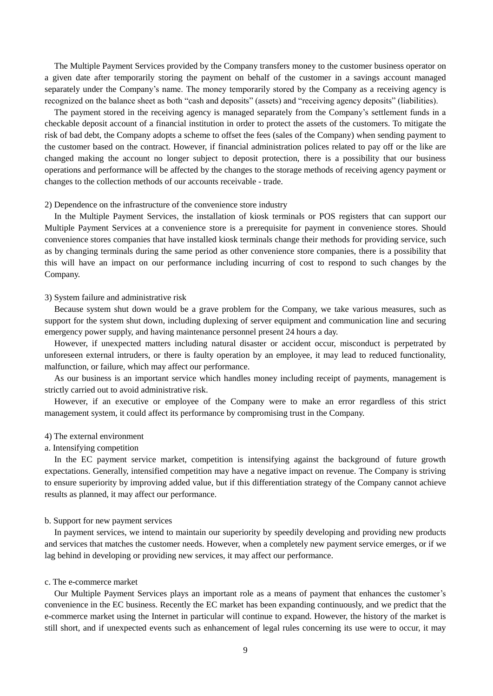The Multiple Payment Services provided by the Company transfers money to the customer business operator on a given date after temporarily storing the payment on behalf of the customer in a savings account managed separately under the Company's name. The money temporarily stored by the Company as a receiving agency is recognized on the balance sheet as both "cash and deposits" (assets) and "receiving agency deposits" (liabilities).

The payment stored in the receiving agency is managed separately from the Company's settlement funds in a checkable deposit account of a financial institution in order to protect the assets of the customers. To mitigate the risk of bad debt, the Company adopts a scheme to offset the fees (sales of the Company) when sending payment to the customer based on the contract. However, if financial administration polices related to pay off or the like are changed making the account no longer subject to deposit protection, there is a possibility that our business operations and performance will be affected by the changes to the storage methods of receiving agency payment or changes to the collection methods of our accounts receivable - trade.

#### 2) Dependence on the infrastructure of the convenience store industry

In the Multiple Payment Services, the installation of kiosk terminals or POS registers that can support our Multiple Payment Services at a convenience store is a prerequisite for payment in convenience stores. Should convenience stores companies that have installed kiosk terminals change their methods for providing service, such as by changing terminals during the same period as other convenience store companies, there is a possibility that this will have an impact on our performance including incurring of cost to respond to such changes by the Company.

## 3) System failure and administrative risk

Because system shut down would be a grave problem for the Company, we take various measures, such as support for the system shut down, including duplexing of server equipment and communication line and securing emergency power supply, and having maintenance personnel present 24 hours a day.

However, if unexpected matters including natural disaster or accident occur, misconduct is perpetrated by unforeseen external intruders, or there is faulty operation by an employee, it may lead to reduced functionality, malfunction, or failure, which may affect our performance.

As our business is an important service which handles money including receipt of payments, management is strictly carried out to avoid administrative risk.

However, if an executive or employee of the Company were to make an error regardless of this strict management system, it could affect its performance by compromising trust in the Company.

# 4) The external environment

# a. Intensifying competition

In the EC payment service market, competition is intensifying against the background of future growth expectations. Generally, intensified competition may have a negative impact on revenue. The Company is striving to ensure superiority by improving added value, but if this differentiation strategy of the Company cannot achieve results as planned, it may affect our performance.

### b. Support for new payment services

In payment services, we intend to maintain our superiority by speedily developing and providing new products and services that matches the customer needs. However, when a completely new payment service emerges, or if we lag behind in developing or providing new services, it may affect our performance.

# c. The e-commerce market

Our Multiple Payment Services plays an important role as a means of payment that enhances the customer's convenience in the EC business. Recently the EC market has been expanding continuously, and we predict that the e-commerce market using the Internet in particular will continue to expand. However, the history of the market is still short, and if unexpected events such as enhancement of legal rules concerning its use were to occur, it may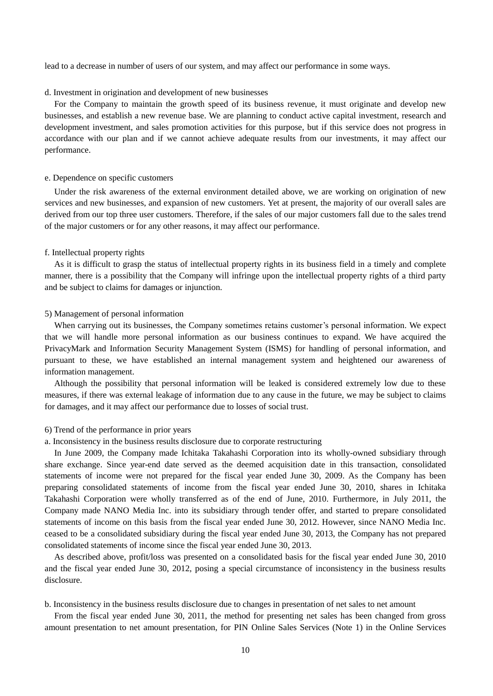lead to a decrease in number of users of our system, and may affect our performance in some ways.

#### d. Investment in origination and development of new businesses

For the Company to maintain the growth speed of its business revenue, it must originate and develop new businesses, and establish a new revenue base. We are planning to conduct active capital investment, research and development investment, and sales promotion activities for this purpose, but if this service does not progress in accordance with our plan and if we cannot achieve adequate results from our investments, it may affect our performance.

#### e. Dependence on specific customers

Under the risk awareness of the external environment detailed above, we are working on origination of new services and new businesses, and expansion of new customers. Yet at present, the majority of our overall sales are derived from our top three user customers. Therefore, if the sales of our major customers fall due to the sales trend of the major customers or for any other reasons, it may affect our performance.

#### f. Intellectual property rights

As it is difficult to grasp the status of intellectual property rights in its business field in a timely and complete manner, there is a possibility that the Company will infringe upon the intellectual property rights of a third party and be subject to claims for damages or injunction.

#### 5) Management of personal information

When carrying out its businesses, the Company sometimes retains customer's personal information. We expect that we will handle more personal information as our business continues to expand. We have acquired the PrivacyMark and Information Security Management System (ISMS) for handling of personal information, and pursuant to these, we have established an internal management system and heightened our awareness of information management.

Although the possibility that personal information will be leaked is considered extremely low due to these measures, if there was external leakage of information due to any cause in the future, we may be subject to claims for damages, and it may affect our performance due to losses of social trust.

### 6) Trend of the performance in prior years

a. Inconsistency in the business results disclosure due to corporate restructuring

In June 2009, the Company made Ichitaka Takahashi Corporation into its wholly-owned subsidiary through share exchange. Since year-end date served as the deemed acquisition date in this transaction, consolidated statements of income were not prepared for the fiscal year ended June 30, 2009. As the Company has been preparing consolidated statements of income from the fiscal year ended June 30, 2010, shares in Ichitaka Takahashi Corporation were wholly transferred as of the end of June, 2010. Furthermore, in July 2011, the Company made NANO Media Inc. into its subsidiary through tender offer, and started to prepare consolidated statements of income on this basis from the fiscal year ended June 30, 2012. However, since NANO Media Inc. ceased to be a consolidated subsidiary during the fiscal year ended June 30, 2013, the Company has not prepared consolidated statements of income since the fiscal year ended June 30, 2013.

As described above, profit/loss was presented on a consolidated basis for the fiscal year ended June 30, 2010 and the fiscal year ended June 30, 2012, posing a special circumstance of inconsistency in the business results disclosure.

b. Inconsistency in the business results disclosure due to changes in presentation of net sales to net amount

From the fiscal year ended June 30, 2011, the method for presenting net sales has been changed from gross amount presentation to net amount presentation, for PIN Online Sales Services (Note 1) in the Online Services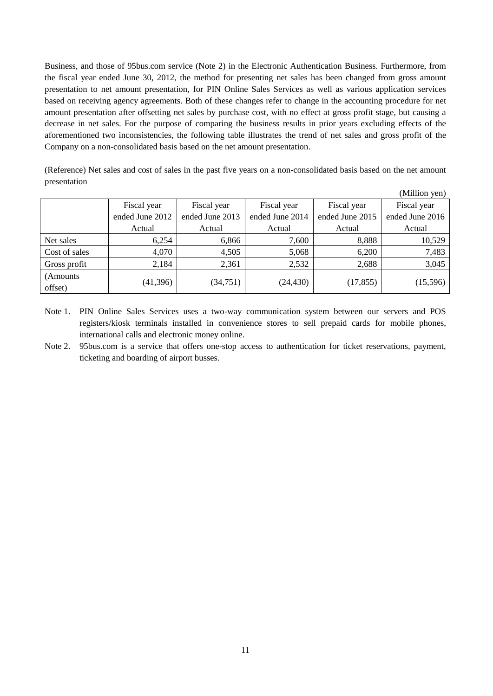Business, and those of 95bus.com service (Note 2) in the Electronic Authentication Business. Furthermore, from the fiscal year ended June 30, 2012, the method for presenting net sales has been changed from gross amount presentation to net amount presentation, for PIN Online Sales Services as well as various application services based on receiving agency agreements. Both of these changes refer to change in the accounting procedure for net amount presentation after offsetting net sales by purchase cost, with no effect at gross profit stage, but causing a decrease in net sales. For the purpose of comparing the business results in prior years excluding effects of the aforementioned two inconsistencies, the following table illustrates the trend of net sales and gross profit of the Company on a non-consolidated basis based on the net amount presentation.

(Reference) Net sales and cost of sales in the past five years on a non-consolidated basis based on the net amount presentation

|                      |                 |                 |                 |                 | (Million yen)   |
|----------------------|-----------------|-----------------|-----------------|-----------------|-----------------|
|                      | Fiscal year     | Fiscal year     | Fiscal year     | Fiscal year     | Fiscal year     |
|                      | ended June 2012 | ended June 2013 | ended June 2014 | ended June 2015 | ended June 2016 |
|                      | Actual          | Actual          | Actual          | Actual          | Actual          |
| Net sales            | 6,254           | 6,866           | 7,600           | 8,888           | 10,529          |
| Cost of sales        | 4,070           | 4,505           | 5,068           | 6,200           | 7,483           |
| Gross profit         | 2,184           | 2,361           | 2,532           | 2,688           | 3,045           |
| (Amounts)<br>offset) | (41,396)        | (34, 751)       | (24, 430)       | (17, 855)       | (15,596)        |

Note 1. PIN Online Sales Services uses a two-way communication system between our servers and POS registers/kiosk terminals installed in convenience stores to sell prepaid cards for mobile phones, international calls and electronic money online.

Note 2. 95bus.com is a service that offers one-stop access to authentication for ticket reservations, payment, ticketing and boarding of airport busses.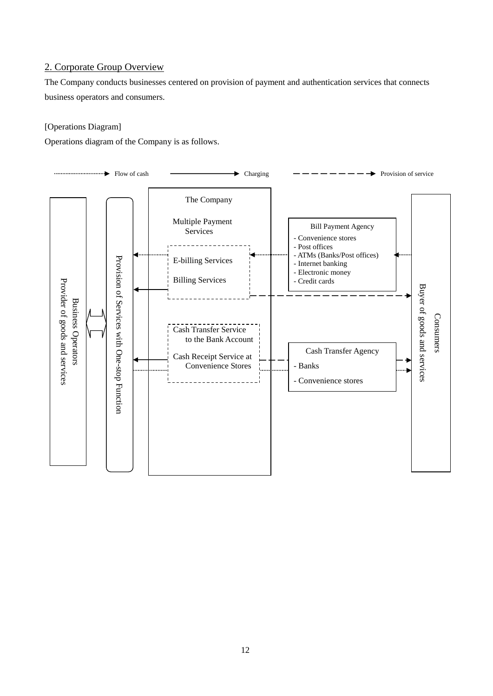# 2. Corporate Group Overview

The Company conducts businesses centered on provision of payment and authentication services that connects business operators and consumers.

# [Operations Diagram]

Operations diagram of the Company is as follows.

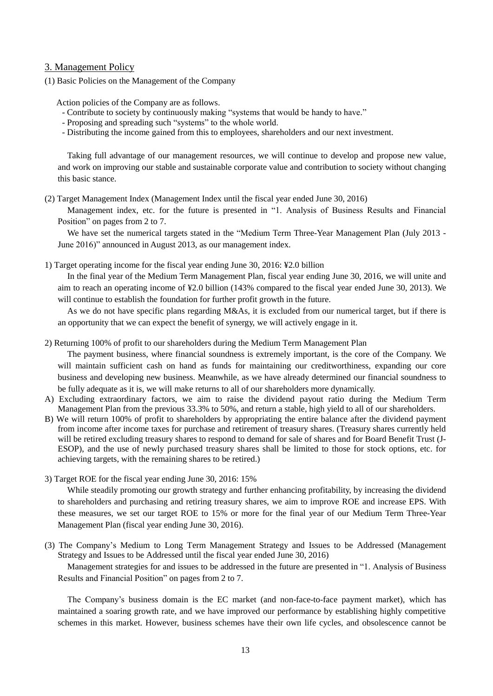# 3. Management Policy

(1) Basic Policies on the Management of the Company

Action policies of the Company are as follows.

- Contribute to society by continuously making "systems that would be handy to have."
- Proposing and spreading such "systems" to the whole world.
- Distributing the income gained from this to employees, shareholders and our next investment.

Taking full advantage of our management resources, we will continue to develop and propose new value, and work on improving our stable and sustainable corporate value and contribution to society without changing this basic stance.

(2) Target Management Index (Management Index until the fiscal year ended June 30, 2016)

Management index, etc. for the future is presented in "1. Analysis of Business Results and Financial Position" on pages from 2 to 7.

We have set the numerical targets stated in the "Medium Term Three-Year Management Plan (July 2013 - June 2016)" announced in August 2013, as our management index.

1) Target operating income for the fiscal year ending June 30, 2016: ¥2.0 billion

In the final year of the Medium Term Management Plan, fiscal year ending June 30, 2016, we will unite and aim to reach an operating income of ¥2.0 billion (143% compared to the fiscal year ended June 30, 2013). We will continue to establish the foundation for further profit growth in the future.

As we do not have specific plans regarding M&As, it is excluded from our numerical target, but if there is an opportunity that we can expect the benefit of synergy, we will actively engage in it.

2) Returning 100% of profit to our shareholders during the Medium Term Management Plan

The payment business, where financial soundness is extremely important, is the core of the Company. We will maintain sufficient cash on hand as funds for maintaining our creditworthiness, expanding our core business and developing new business. Meanwhile, as we have already determined our financial soundness to be fully adequate as it is, we will make returns to all of our shareholders more dynamically.

- A) Excluding extraordinary factors, we aim to raise the dividend payout ratio during the Medium Term Management Plan from the previous 33.3% to 50%, and return a stable, high yield to all of our shareholders.
- B) We will return 100% of profit to shareholders by appropriating the entire balance after the dividend payment from income after income taxes for purchase and retirement of treasury shares. (Treasury shares currently held will be retired excluding treasury shares to respond to demand for sale of shares and for Board Benefit Trust (J-ESOP), and the use of newly purchased treasury shares shall be limited to those for stock options, etc. for achieving targets, with the remaining shares to be retired.)
- 3) Target ROE for the fiscal year ending June 30, 2016: 15%

While steadily promoting our growth strategy and further enhancing profitability, by increasing the dividend to shareholders and purchasing and retiring treasury shares, we aim to improve ROE and increase EPS. With these measures, we set our target ROE to 15% or more for the final year of our Medium Term Three-Year Management Plan (fiscal year ending June 30, 2016).

(3) The Company's Medium to Long Term Management Strategy and Issues to be Addressed (Management Strategy and Issues to be Addressed until the fiscal year ended June 30, 2016)

Management strategies for and issues to be addressed in the future are presented in "1. Analysis of Business Results and Financial Position" on pages from 2 to 7.

The Company's business domain is the EC market (and non-face-to-face payment market), which has maintained a soaring growth rate, and we have improved our performance by establishing highly competitive schemes in this market. However, business schemes have their own life cycles, and obsolescence cannot be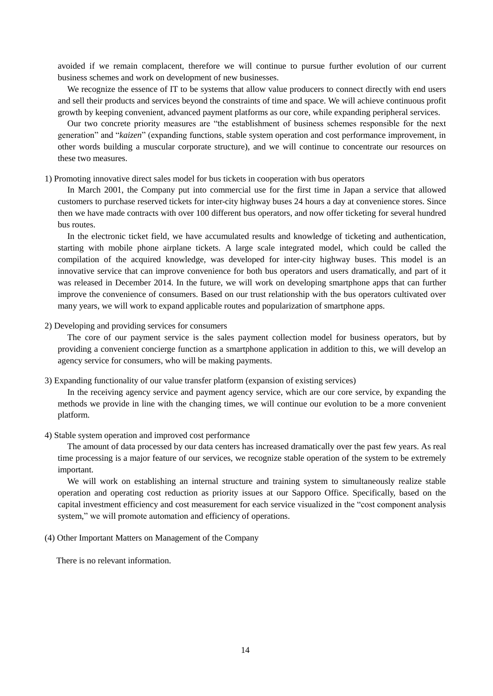avoided if we remain complacent, therefore we will continue to pursue further evolution of our current business schemes and work on development of new businesses.

We recognize the essence of IT to be systems that allow value producers to connect directly with end users and sell their products and services beyond the constraints of time and space. We will achieve continuous profit growth by keeping convenient, advanced payment platforms as our core, while expanding peripheral services.

Our two concrete priority measures are "the establishment of business schemes responsible for the next generation" and "*kaizen*" (expanding functions, stable system operation and cost performance improvement, in other words building a muscular corporate structure), and we will continue to concentrate our resources on these two measures.

### 1) Promoting innovative direct sales model for bus tickets in cooperation with bus operators

In March 2001, the Company put into commercial use for the first time in Japan a service that allowed customers to purchase reserved tickets for inter-city highway buses 24 hours a day at convenience stores. Since then we have made contracts with over 100 different bus operators, and now offer ticketing for several hundred bus routes.

In the electronic ticket field, we have accumulated results and knowledge of ticketing and authentication, starting with mobile phone airplane tickets. A large scale integrated model, which could be called the compilation of the acquired knowledge, was developed for inter-city highway buses. This model is an innovative service that can improve convenience for both bus operators and users dramatically, and part of it was released in December 2014. In the future, we will work on developing smartphone apps that can further improve the convenience of consumers. Based on our trust relationship with the bus operators cultivated over many years, we will work to expand applicable routes and popularization of smartphone apps.

### 2) Developing and providing services for consumers

The core of our payment service is the sales payment collection model for business operators, but by providing a convenient concierge function as a smartphone application in addition to this, we will develop an agency service for consumers, who will be making payments.

# 3) Expanding functionality of our value transfer platform (expansion of existing services)

In the receiving agency service and payment agency service, which are our core service, by expanding the methods we provide in line with the changing times, we will continue our evolution to be a more convenient platform.

#### 4) Stable system operation and improved cost performance

The amount of data processed by our data centers has increased dramatically over the past few years. As real time processing is a major feature of our services, we recognize stable operation of the system to be extremely important.

We will work on establishing an internal structure and training system to simultaneously realize stable operation and operating cost reduction as priority issues at our Sapporo Office. Specifically, based on the capital investment efficiency and cost measurement for each service visualized in the "cost component analysis system," we will promote automation and efficiency of operations.

# (4) Other Important Matters on Management of the Company

There is no relevant information.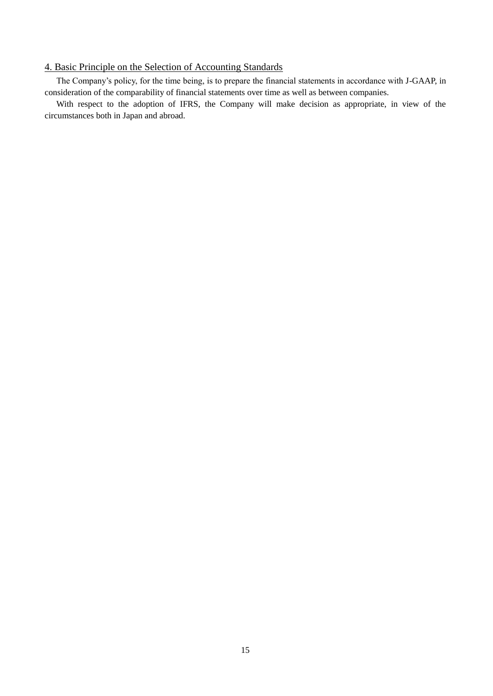# 4. Basic Principle on the Selection of Accounting Standards

The Company's policy, for the time being, is to prepare the financial statements in accordance with J-GAAP, in consideration of the comparability of financial statements over time as well as between companies.

With respect to the adoption of IFRS, the Company will make decision as appropriate, in view of the circumstances both in Japan and abroad.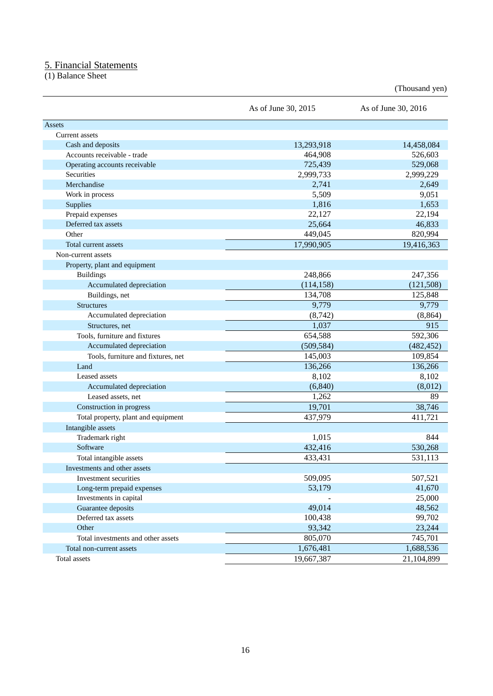# 5. Financial Statements

(1) Balance Sheet

(Thousand yen)

|                                     | As of June 30, 2015 | As of June 30, 2016 |
|-------------------------------------|---------------------|---------------------|
| Assets                              |                     |                     |
| Current assets                      |                     |                     |
| Cash and deposits                   | 13,293,918          | 14,458,084          |
| Accounts receivable - trade         | 464,908             | 526,603             |
| Operating accounts receivable       | 725,439             | 529,068             |
| <b>Securities</b>                   | 2,999,733           | 2,999,229           |
| Merchandise                         | 2,741               | 2,649               |
| Work in process                     | 5,509               | 9,051               |
| <b>Supplies</b>                     | 1,816               | 1,653               |
| Prepaid expenses                    | 22,127              | 22,194              |
| Deferred tax assets                 | 25,664              | 46,833              |
| Other                               | 449,045             | 820,994             |
| Total current assets                | 17,990,905          | 19,416,363          |
| Non-current assets                  |                     |                     |
| Property, plant and equipment       |                     |                     |
| <b>Buildings</b>                    | 248,866             | 247,356             |
| Accumulated depreciation            | (114, 158)          | (121, 508)          |
| Buildings, net                      | 134,708             | 125,848             |
| <b>Structures</b>                   | 9,779               | 9,779               |
| Accumulated depreciation            | (8, 742)            | (8, 864)            |
| Structures, net                     | 1,037               | 915                 |
| Tools, furniture and fixtures       | 654,588             | 592,306             |
| Accumulated depreciation            | (509, 584)          | (482, 452)          |
| Tools, furniture and fixtures, net  | 145,003             | 109,854             |
| Land                                | 136,266             | 136,266             |
| Leased assets                       | 8,102               | 8,102               |
| Accumulated depreciation            | (6, 840)            | (8,012)             |
| Leased assets, net                  | 1,262               | 89                  |
| Construction in progress            | 19,701              | 38,746              |
| Total property, plant and equipment | 437,979             | 411,721             |
| Intangible assets                   |                     |                     |
| Trademark right                     | 1,015               | 844                 |
| Software                            | 432,416             | 530,268             |
| Total intangible assets             | 433,431             | 531,113             |
| Investments and other assets        |                     |                     |
| Investment securities               | 509,095             | 507,521             |
| Long-term prepaid expenses          | 53,179              | 41,670              |
| Investments in capital              |                     | 25,000              |
| Guarantee deposits                  | 49,014              | 48,562              |
| Deferred tax assets                 | 100,438             | 99,702              |
| Other                               | 93,342              | 23,244              |
| Total investments and other assets  | 805,070             | 745,701             |
| Total non-current assets            | 1,676,481           | 1,688,536           |
| Total assets                        | 19,667,387          | 21,104,899          |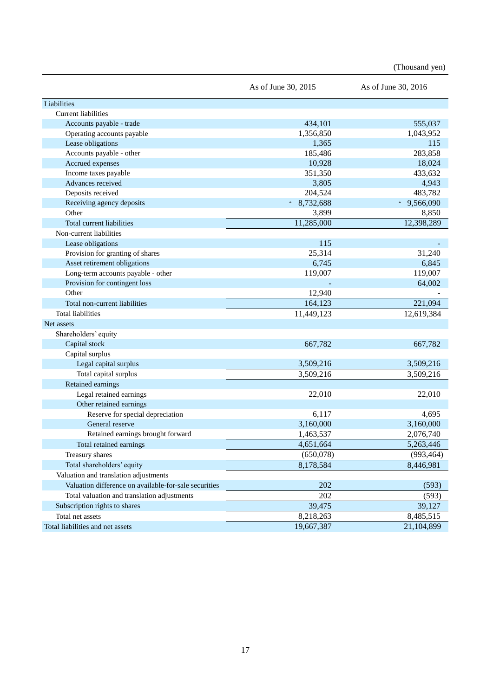(Thousand yen)

|                                                       | As of June 30, 2015 | As of June 30, 2016 |
|-------------------------------------------------------|---------------------|---------------------|
| Liabilities                                           |                     |                     |
| <b>Current liabilities</b>                            |                     |                     |
| Accounts payable - trade                              | 434,101             | 555,037             |
| Operating accounts payable                            | 1,356,850           | 1,043,952           |
| Lease obligations                                     | 1,365               | 115                 |
| Accounts payable - other                              | 185,486             | 283,858             |
| Accrued expenses                                      | 10,928              | 18,024              |
| Income taxes payable                                  | 351,350             | 433,632             |
| Advances received                                     | 3,805               | 4,943               |
| Deposits received                                     | 204,524             | 483,782             |
| Receiving agency deposits                             | 8,732,688<br>$\ast$ | 9,566,090<br>$\ast$ |
| Other                                                 | 3,899               | 8,850               |
| Total current liabilities                             | 11,285,000          | 12,398,289          |
| Non-current liabilities                               |                     |                     |
| Lease obligations                                     | 115                 |                     |
| Provision for granting of shares                      | 25,314              | 31,240              |
| Asset retirement obligations                          | 6,745               | 6,845               |
| Long-term accounts payable - other                    | 119,007             | 119,007             |
| Provision for contingent loss                         |                     | 64,002              |
| Other                                                 | 12,940              |                     |
| Total non-current liabilities                         | 164,123             | 221,094             |
| <b>Total liabilities</b>                              | 11,449,123          | 12,619,384          |
| Net assets                                            |                     |                     |
| Shareholders' equity                                  |                     |                     |
| Capital stock                                         | 667,782             | 667,782             |
| Capital surplus                                       |                     |                     |
| Legal capital surplus                                 | 3,509,216           | 3,509,216           |
| Total capital surplus                                 | 3,509,216           | 3,509,216           |
| Retained earnings                                     |                     |                     |
| Legal retained earnings                               | 22,010              | 22,010              |
| Other retained earnings                               |                     |                     |
| Reserve for special depreciation                      | 6,117               | 4,695               |
| General reserve                                       | 3,160,000           | 3,160,000           |
| Retained earnings brought forward                     | 1,463,537           | 2,076,740           |
| Total retained earnings                               | 4,651,664           | 5,263,446           |
| Treasury shares                                       | (650,078)           | (993, 464)          |
| Total shareholders' equity                            | 8,178,584           | 8,446,981           |
| Valuation and translation adjustments                 |                     |                     |
| Valuation difference on available-for-sale securities | 202                 | (593)               |
| Total valuation and translation adjustments           | $202\,$             | (593)               |
| Subscription rights to shares                         | 39,475              | 39,127              |
| Total net assets                                      | 8,218,263           | 8,485,515           |
| Total liabilities and net assets                      | 19,667,387          | 21,104,899          |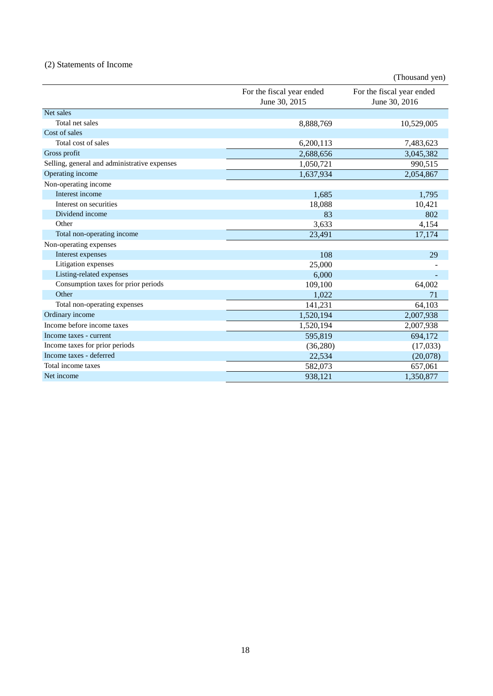# (2) Statements of Income

|                                              |                                            | (Thousand yen)                             |
|----------------------------------------------|--------------------------------------------|--------------------------------------------|
|                                              | For the fiscal year ended<br>June 30, 2015 | For the fiscal year ended<br>June 30, 2016 |
| Net sales                                    |                                            |                                            |
| Total net sales                              | 8,888,769                                  | 10,529,005                                 |
| Cost of sales                                |                                            |                                            |
| Total cost of sales                          | 6,200,113                                  | 7,483,623                                  |
| Gross profit                                 | 2,688,656                                  | 3,045,382                                  |
| Selling, general and administrative expenses | 1,050,721                                  | 990,515                                    |
| Operating income                             | 1,637,934                                  | 2,054,867                                  |
| Non-operating income                         |                                            |                                            |
| Interest income                              | 1,685                                      | 1,795                                      |
| Interest on securities                       | 18,088                                     | 10,421                                     |
| Dividend income                              | 83                                         | 802                                        |
| Other                                        | 3,633                                      | 4,154                                      |
| Total non-operating income                   | 23,491                                     | 17,174                                     |
| Non-operating expenses                       |                                            |                                            |
| Interest expenses                            | 108                                        | 29                                         |
| Litigation expenses                          | 25,000                                     |                                            |
| Listing-related expenses                     | 6,000                                      |                                            |
| Consumption taxes for prior periods          | 109,100                                    | 64,002                                     |
| Other                                        | 1,022                                      | 71                                         |
| Total non-operating expenses                 | 141,231                                    | 64,103                                     |
| Ordinary income                              | 1,520,194                                  | 2,007,938                                  |
| Income before income taxes                   | 1,520,194                                  | 2,007,938                                  |
| Income taxes - current                       | 595,819                                    | 694,172                                    |
| Income taxes for prior periods               | (36, 280)                                  | (17,033)                                   |
| Income taxes - deferred                      | 22,534                                     | (20,078)                                   |
| Total income taxes                           | 582,073                                    | 657,061                                    |
| Net income                                   | 938,121                                    | 1,350,877                                  |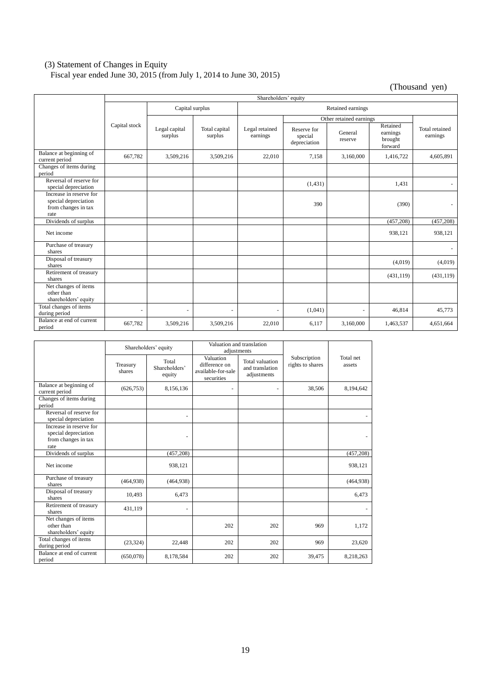# (3) Statement of Changes in Equity

Fiscal year ended June 30, 2015 (from July 1, 2014 to June 30, 2015)

(Thousand yen)

|                                                                                | Shareholders' equity     |                          |                          |                            |                                        |                         |                                            |                            |
|--------------------------------------------------------------------------------|--------------------------|--------------------------|--------------------------|----------------------------|----------------------------------------|-------------------------|--------------------------------------------|----------------------------|
|                                                                                | Capital surplus          |                          | Retained earnings        |                            |                                        |                         |                                            |                            |
|                                                                                |                          |                          |                          |                            |                                        | Other retained earnings |                                            |                            |
|                                                                                | Capital stock            | Legal capital<br>surplus | Total capital<br>surplus | Legal retained<br>earnings | Reserve for<br>special<br>depreciation | General<br>reserve      | Retained<br>earnings<br>brought<br>forward | Total retained<br>earnings |
| Balance at beginning of<br>current period                                      | 667,782                  | 3,509,216                | 3,509,216                | 22,010                     | 7,158                                  | 3,160,000               | 1,416,722                                  | 4,605,891                  |
| Changes of items during<br>period                                              |                          |                          |                          |                            |                                        |                         |                                            |                            |
| Reversal of reserve for<br>special depreciation                                |                          |                          |                          |                            | (1, 431)                               |                         | 1,431                                      | $\overline{\phantom{0}}$   |
| Increase in reserve for<br>special depreciation<br>from changes in tax<br>rate |                          |                          |                          |                            | 390                                    |                         | (390)                                      | $\overline{\phantom{a}}$   |
| Dividends of surplus                                                           |                          |                          |                          |                            |                                        |                         | (457,208)                                  | (457,208)                  |
| Net income                                                                     |                          |                          |                          |                            |                                        |                         | 938,121                                    | 938,121                    |
| Purchase of treasury<br>shares                                                 |                          |                          |                          |                            |                                        |                         |                                            |                            |
| Disposal of treasury<br>shares                                                 |                          |                          |                          |                            |                                        |                         | (4,019)                                    | (4,019)                    |
| Retirement of treasury<br>shares                                               |                          |                          |                          |                            |                                        |                         | (431, 119)                                 | (431, 119)                 |
| Net changes of items<br>other than<br>shareholders' equity                     |                          |                          |                          |                            |                                        |                         |                                            |                            |
| Total changes of items<br>during period                                        | $\overline{\phantom{a}}$ | ٠                        |                          |                            | (1,041)                                |                         | 46,814                                     | 45,773                     |
| Balance at end of current<br>period                                            | 667,782                  | 3,509,216                | 3,509,216                | 22.010                     | 6,117                                  | 3,160,000               | 1,463,537                                  | 4,651,664                  |

|                                                                                |                    | Shareholders' equity             | Valuation and translation<br>adjustments                       |                                                   |                                  |                     |
|--------------------------------------------------------------------------------|--------------------|----------------------------------|----------------------------------------------------------------|---------------------------------------------------|----------------------------------|---------------------|
|                                                                                | Treasury<br>shares | Total<br>Shareholders'<br>equity | Valuation<br>difference on<br>available-for-sale<br>securities | Total valuation<br>and translation<br>adjustments | Subscription<br>rights to shares | Total net<br>assets |
| Balance at beginning of<br>current period                                      | (626, 753)         | 8,156,136                        |                                                                |                                                   | 38,506                           | 8,194,642           |
| Changes of items during<br>period                                              |                    |                                  |                                                                |                                                   |                                  |                     |
| Reversal of reserve for<br>special depreciation                                |                    |                                  |                                                                |                                                   |                                  |                     |
| Increase in reserve for<br>special depreciation<br>from changes in tax<br>rate |                    |                                  |                                                                |                                                   |                                  |                     |
| Dividends of surplus                                                           |                    | (457, 208)                       |                                                                |                                                   |                                  | (457, 208)          |
| Net income                                                                     |                    | 938,121                          |                                                                |                                                   |                                  | 938,121             |
| Purchase of treasury<br>shares                                                 | (464, 938)         | (464, 938)                       |                                                                |                                                   |                                  | (464, 938)          |
| Disposal of treasury<br>shares                                                 | 10,493             | 6,473                            |                                                                |                                                   |                                  | 6,473               |
| Retirement of treasury<br>shares                                               | 431,119            |                                  |                                                                |                                                   |                                  |                     |
| Net changes of items<br>other than<br>shareholders' equity                     |                    |                                  | 202                                                            | 202                                               | 969                              | 1,172               |
| Total changes of items<br>during period                                        | (23, 324)          | 22,448                           | 202                                                            | 202                                               | 969                              | 23,620              |
| Balance at end of current<br>period                                            | (650,078)          | 8,178,584                        | 202                                                            | 202                                               | 39,475                           | 8,218,263           |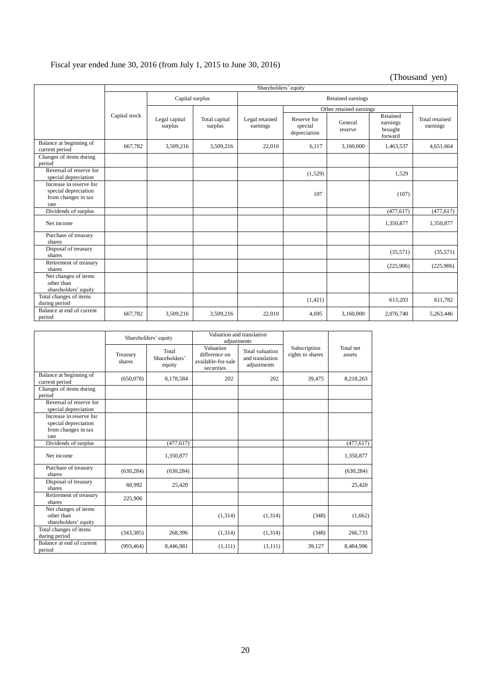# Fiscal year ended June 30, 2016 (from July 1, 2015 to June 30, 2016)

(Thousand yen)

|                                                                                | Shareholders' equity |                          |                          |                            |                                        |                         |                                            |                            |
|--------------------------------------------------------------------------------|----------------------|--------------------------|--------------------------|----------------------------|----------------------------------------|-------------------------|--------------------------------------------|----------------------------|
|                                                                                | Capital surplus      |                          |                          | Retained earnings          |                                        |                         |                                            |                            |
|                                                                                |                      |                          |                          |                            |                                        | Other retained earnings |                                            |                            |
|                                                                                | Capital stock        | Legal capital<br>surplus | Total capital<br>surplus | Legal retained<br>earnings | Reserve for<br>special<br>depreciation | General<br>reserve      | Retained<br>earnings<br>brought<br>forward | Total retained<br>earnings |
| Balance at beginning of<br>current period                                      | 667,782              | 3,509,216                | 3,509,216                | 22,010                     | 6,117                                  | 3,160,000               | 1,463,537                                  | 4,651,664                  |
| Changes of items during<br>period                                              |                      |                          |                          |                            |                                        |                         |                                            |                            |
| Reversal of reserve for<br>special depreciation                                |                      |                          |                          |                            | (1,529)                                |                         | 1,529                                      |                            |
| Increase in reserve for<br>special depreciation<br>from changes in tax<br>rate |                      |                          |                          |                            | 107                                    |                         | (107)                                      |                            |
| Dividends of surplus                                                           |                      |                          |                          |                            |                                        |                         | (477, 617)                                 | (477, 617)                 |
| Net income                                                                     |                      |                          |                          |                            |                                        |                         | 1,350,877                                  | 1,350,877                  |
| Purchase of treasury<br>shares                                                 |                      |                          |                          |                            |                                        |                         |                                            |                            |
| Disposal of treasury<br>shares                                                 |                      |                          |                          |                            |                                        |                         | (35,571)                                   | (35,571)                   |
| Retirement of treasury<br>shares                                               |                      |                          |                          |                            |                                        |                         | (225,906)                                  | (225,906)                  |
| Net changes of items<br>other than<br>shareholders' equity                     |                      |                          |                          |                            |                                        |                         |                                            |                            |
| Total changes of items<br>during period                                        |                      |                          |                          |                            | (1,421)                                |                         | 613,203                                    | 611,782                    |
| Balance at end of current<br>period                                            | 667,782              | 3,509,216                | 3,509,216                | 22,010                     | 4,695                                  | 3,160,000               | 2,076,740                                  | 5,263,446                  |

|                                                                                | Shareholders' equity |                                  |                                                                | Valuation and translation<br>adjustments          |                                  |                     |
|--------------------------------------------------------------------------------|----------------------|----------------------------------|----------------------------------------------------------------|---------------------------------------------------|----------------------------------|---------------------|
|                                                                                | Treasury<br>shares   | Total<br>Shareholders'<br>equity | Valuation<br>difference on<br>available-for-sale<br>securities | Total valuation<br>and translation<br>adjustments | Subscription<br>rights to shares | Total net<br>assets |
| Balance at beginning of<br>current period                                      | (650,078)            | 8,178,584                        | 202                                                            | 202                                               | 39,475                           | 8,218,263           |
| Changes of items during<br>period                                              |                      |                                  |                                                                |                                                   |                                  |                     |
| Reversal of reserve for<br>special depreciation                                |                      |                                  |                                                                |                                                   |                                  |                     |
| Increase in reserve for<br>special depreciation<br>from changes in tax<br>rate |                      |                                  |                                                                |                                                   |                                  |                     |
| Dividends of surplus                                                           |                      | (477, 617)                       |                                                                |                                                   |                                  | (477, 617)          |
| Net income                                                                     |                      | 1,350,877                        |                                                                |                                                   |                                  | 1,350,877           |
| Purchase of treasury<br>shares                                                 | (630, 284)           | (630, 284)                       |                                                                |                                                   |                                  | (630, 284)          |
| Disposal of treasury<br>shares                                                 | 60,992               | 25,420                           |                                                                |                                                   |                                  | 25,420              |
| Retirement of treasury<br>shares                                               | 225,906              |                                  |                                                                |                                                   |                                  |                     |
| Net changes of items<br>other than<br>shareholders' equity                     |                      |                                  | (1, 314)                                                       | (1,314)                                           | (348)                            | (1,662)             |
| Total changes of items<br>during period                                        | (343, 385)           | 268,396                          | (1,314)                                                        | (1,314)                                           | (348)                            | 266,733             |
| Balance at end of current<br>period                                            | (993, 464)           | 8,446,981                        | (1,111)                                                        | (1,111)                                           | 39,127                           | 8,484,996           |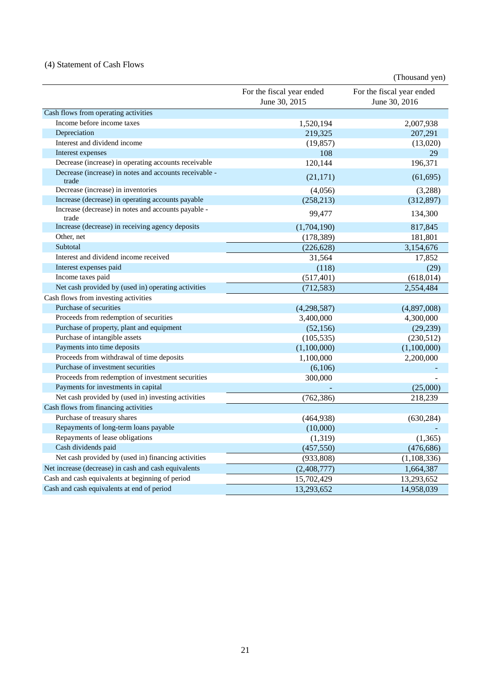# (4) Statement of Cash Flows

|                                                                 |                                            | (Thousand yen)                             |
|-----------------------------------------------------------------|--------------------------------------------|--------------------------------------------|
|                                                                 | For the fiscal year ended<br>June 30, 2015 | For the fiscal year ended<br>June 30, 2016 |
| Cash flows from operating activities                            |                                            |                                            |
| Income before income taxes                                      | 1,520,194                                  | 2,007,938                                  |
| Depreciation                                                    | 219,325                                    | 207,291                                    |
| Interest and dividend income                                    | (19, 857)                                  | (13,020)                                   |
| Interest expenses                                               | 108                                        | 29                                         |
| Decrease (increase) in operating accounts receivable            | 120,144                                    | 196,371                                    |
| Decrease (increase) in notes and accounts receivable -<br>trade | (21, 171)                                  | (61, 695)                                  |
| Decrease (increase) in inventories                              | (4,056)                                    | (3,288)                                    |
| Increase (decrease) in operating accounts payable               | (258, 213)                                 | (312, 897)                                 |
| Increase (decrease) in notes and accounts payable -<br>trade    | 99,477                                     | 134,300                                    |
| Increase (decrease) in receiving agency deposits                | (1,704,190)                                | 817,845                                    |
| Other, net                                                      | (178, 389)                                 | 181,801                                    |
| Subtotal                                                        | (226, 628)                                 | 3,154,676                                  |
| Interest and dividend income received                           | 31,564                                     | 17,852                                     |
| Interest expenses paid                                          | (118)                                      | (29)                                       |
| Income taxes paid                                               | (517, 401)                                 | (618, 014)                                 |
| Net cash provided by (used in) operating activities             | (712, 583)                                 | 2,554,484                                  |
| Cash flows from investing activities                            |                                            |                                            |
| Purchase of securities                                          | (4,298,587)                                | (4,897,008)                                |
| Proceeds from redemption of securities                          | 3,400,000                                  | 4,300,000                                  |
| Purchase of property, plant and equipment                       | (52, 156)                                  | (29, 239)                                  |
| Purchase of intangible assets                                   | (105, 535)                                 | (230,512)                                  |
| Payments into time deposits                                     | (1,100,000)                                | (1,100,000)                                |
| Proceeds from withdrawal of time deposits                       | 1,100,000                                  | 2,200,000                                  |
| Purchase of investment securities                               | (6,106)                                    |                                            |
| Proceeds from redemption of investment securities               | 300,000                                    |                                            |
| Payments for investments in capital                             |                                            | (25,000)                                   |
| Net cash provided by (used in) investing activities             | (762, 386)                                 | 218,239                                    |
| Cash flows from financing activities                            |                                            |                                            |
| Purchase of treasury shares                                     | (464,938)                                  | (630, 284)                                 |
| Repayments of long-term loans payable                           | (10,000)                                   |                                            |
| Repayments of lease obligations                                 | (1,319)                                    | (1, 365)                                   |
| Cash dividends paid                                             | (457, 550)                                 | (476, 686)                                 |
| Net cash provided by (used in) financing activities             | (933, 808)                                 | (1,108,336)                                |
| Net increase (decrease) in cash and cash equivalents            | (2,408,777)                                | 1,664,387                                  |
| Cash and cash equivalents at beginning of period                | 15,702,429                                 | 13,293,652                                 |
| Cash and cash equivalents at end of period                      | 13,293,652                                 | 14,958,039                                 |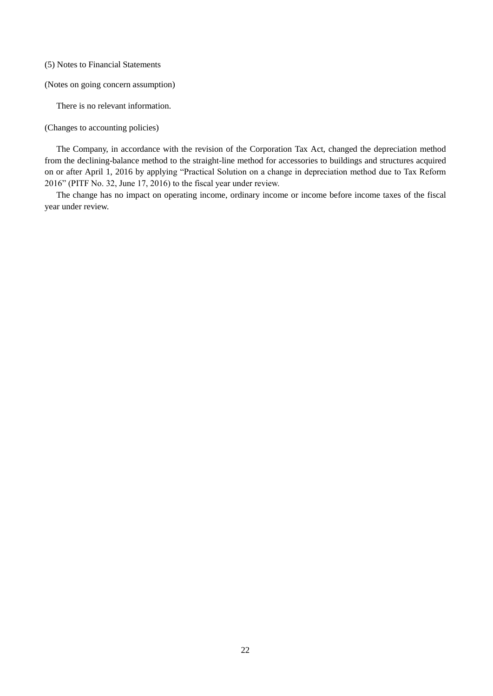(5) Notes to Financial Statements

(Notes on going concern assumption)

There is no relevant information.

(Changes to accounting policies)

The Company, in accordance with the revision of the Corporation Tax Act, changed the depreciation method from the declining-balance method to the straight-line method for accessories to buildings and structures acquired on or after April 1, 2016 by applying "Practical Solution on a change in depreciation method due to Tax Reform 2016" (PITF No. 32, June 17, 2016) to the fiscal year under review.

The change has no impact on operating income, ordinary income or income before income taxes of the fiscal year under review.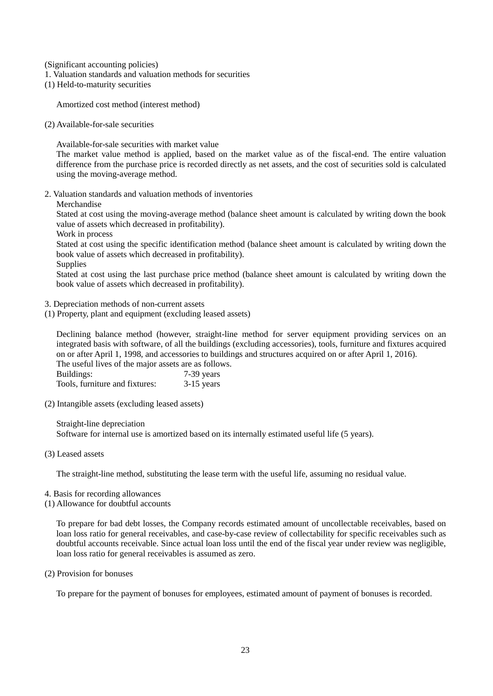(Significant accounting policies)

- 1. Valuation standards and valuation methods for securities
- (1) Held-to-maturity securities

Amortized cost method (interest method)

(2) Available-for-sale securities

Available-for-sale securities with market value

The market value method is applied, based on the market value as of the fiscal-end. The entire valuation difference from the purchase price is recorded directly as net assets, and the cost of securities sold is calculated using the moving-average method.

2. Valuation standards and valuation methods of inventories

Merchandise

Stated at cost using the moving-average method (balance sheet amount is calculated by writing down the book value of assets which decreased in profitability).

Work in process

Stated at cost using the specific identification method (balance sheet amount is calculated by writing down the book value of assets which decreased in profitability).

**Supplies** 

Stated at cost using the last purchase price method (balance sheet amount is calculated by writing down the book value of assets which decreased in profitability).

3. Depreciation methods of non-current assets

(1) Property, plant and equipment (excluding leased assets)

Declining balance method (however, straight-line method for server equipment providing services on an integrated basis with software, of all the buildings (excluding accessories), tools, furniture and fixtures acquired on or after April 1, 1998, and accessories to buildings and structures acquired on or after April 1, 2016).

The useful lives of the major assets are as follows. Buildings: 7-39 years Tools, furniture and fixtures: 3-15 years

(2) Intangible assets (excluding leased assets)

Straight-line depreciation Software for internal use is amortized based on its internally estimated useful life (5 years).

(3) Leased assets

The straight-line method, substituting the lease term with the useful life, assuming no residual value.

- 4. Basis for recording allowances
- (1) Allowance for doubtful accounts

To prepare for bad debt losses, the Company records estimated amount of uncollectable receivables, based on loan loss ratio for general receivables, and case-by-case review of collectability for specific receivables such as doubtful accounts receivable. Since actual loan loss until the end of the fiscal year under review was negligible, loan loss ratio for general receivables is assumed as zero.

(2) Provision for bonuses

To prepare for the payment of bonuses for employees, estimated amount of payment of bonuses is recorded.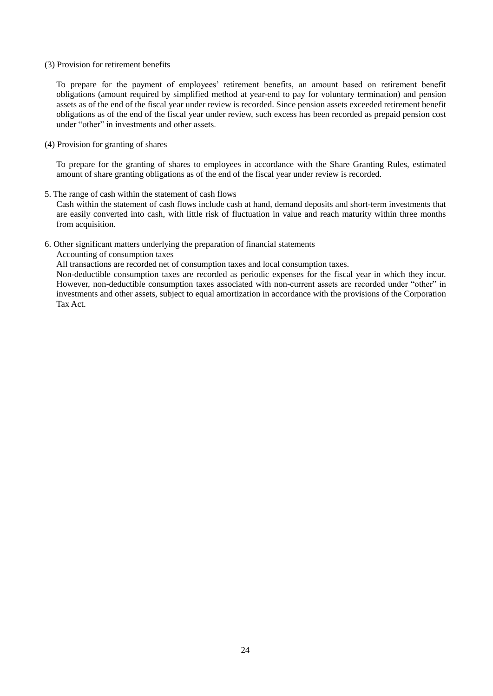### (3) Provision for retirement benefits

To prepare for the payment of employees' retirement benefits, an amount based on retirement benefit obligations (amount required by simplified method at year-end to pay for voluntary termination) and pension assets as of the end of the fiscal year under review is recorded. Since pension assets exceeded retirement benefit obligations as of the end of the fiscal year under review, such excess has been recorded as prepaid pension cost under "other" in investments and other assets.

# (4) Provision for granting of shares

To prepare for the granting of shares to employees in accordance with the Share Granting Rules, estimated amount of share granting obligations as of the end of the fiscal year under review is recorded.

5. The range of cash within the statement of cash flows

Cash within the statement of cash flows include cash at hand, demand deposits and short-term investments that are easily converted into cash, with little risk of fluctuation in value and reach maturity within three months from acquisition.

## 6. Other significant matters underlying the preparation of financial statements

Accounting of consumption taxes

All transactions are recorded net of consumption taxes and local consumption taxes.

Non-deductible consumption taxes are recorded as periodic expenses for the fiscal year in which they incur. However, non-deductible consumption taxes associated with non-current assets are recorded under "other" in investments and other assets, subject to equal amortization in accordance with the provisions of the Corporation Tax Act.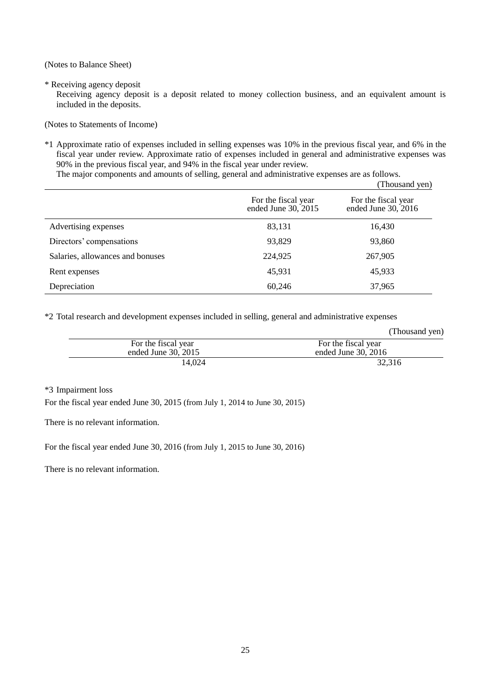(Notes to Balance Sheet)

\* Receiving agency deposit

Receiving agency deposit is a deposit related to money collection business, and an equivalent amount is included in the deposits.

(Notes to Statements of Income)

\*1 Approximate ratio of expenses included in selling expenses was 10% in the previous fiscal year, and 6% in the fiscal year under review. Approximate ratio of expenses included in general and administrative expenses was 90% in the previous fiscal year, and 94% in the fiscal year under review.

The major components and amounts of selling, general and administrative expenses are as follows.

|                                  |                                            | (Thousand yen)                             |
|----------------------------------|--------------------------------------------|--------------------------------------------|
|                                  | For the fiscal year<br>ended June 30, 2015 | For the fiscal year<br>ended June 30, 2016 |
| Advertising expenses             | 83,131                                     | 16,430                                     |
| Directors' compensations         | 93,829                                     | 93,860                                     |
| Salaries, allowances and bonuses | 224,925                                    | 267,905                                    |
| Rent expenses                    | 45,931                                     | 45,933                                     |
| Depreciation                     | 60,246                                     | 37,965                                     |

\*2 Total research and development expenses included in selling, general and administrative expenses

|                       | (Thousand yen)        |
|-----------------------|-----------------------|
| For the fiscal year   | For the fiscal year   |
| ended June $30, 2015$ | ended June $30, 2016$ |
| 14.024                | 32.316                |

\*3 Impairment loss

For the fiscal year ended June 30, 2015 (from July 1, 2014 to June 30, 2015)

There is no relevant information.

For the fiscal year ended June 30, 2016 (from July 1, 2015 to June 30, 2016)

There is no relevant information.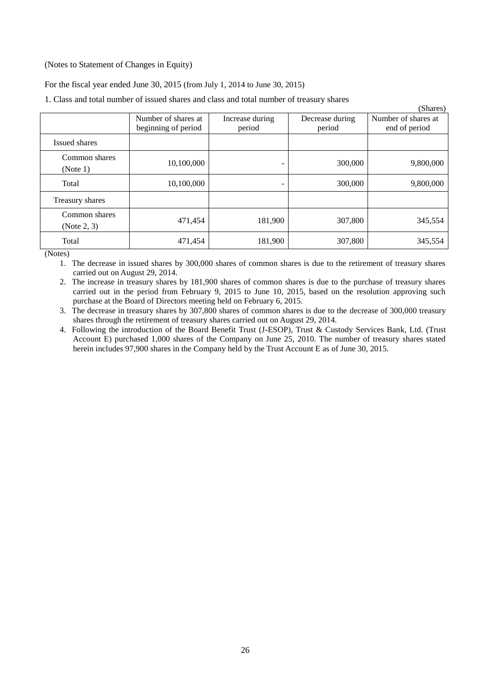# (Notes to Statement of Changes in Equity)

For the fiscal year ended June 30, 2015 (from July 1, 2014 to June 30, 2015)

1. Class and total number of issued shares and class and total number of treasury shares

|                              | Number of shares at<br>beginning of period | Increase during<br>period | Decrease during<br>period | Shares)<br>Number of shares at<br>end of period |
|------------------------------|--------------------------------------------|---------------------------|---------------------------|-------------------------------------------------|
| Issued shares                |                                            |                           |                           |                                                 |
| Common shares<br>(Note 1)    | 10,100,000                                 |                           | 300,000                   | 9,800,000                                       |
| Total                        | 10,100,000                                 |                           | 300,000                   | 9,800,000                                       |
| Treasury shares              |                                            |                           |                           |                                                 |
| Common shares<br>(Note 2, 3) | 471,454                                    | 181,900                   | 307,800                   | 345,554                                         |
| Total                        | 471,454                                    | 181,900                   | 307,800                   | 345,554                                         |

 $(51)$ 

(Notes)

1. The decrease in issued shares by 300,000 shares of common shares is due to the retirement of treasury shares carried out on August 29, 2014.

2. The increase in treasury shares by 181,900 shares of common shares is due to the purchase of treasury shares carried out in the period from February 9, 2015 to June 10, 2015, based on the resolution approving such purchase at the Board of Directors meeting held on February 6, 2015.

3. The decrease in treasury shares by 307,800 shares of common shares is due to the decrease of 300,000 treasury shares through the retirement of treasury shares carried out on August 29, 2014.

4. Following the introduction of the Board Benefit Trust (J-ESOP), Trust & Custody Services Bank, Ltd. (Trust Account E) purchased 1,000 shares of the Company on June 25, 2010. The number of treasury shares stated herein includes 97,900 shares in the Company held by the Trust Account E as of June 30, 2015.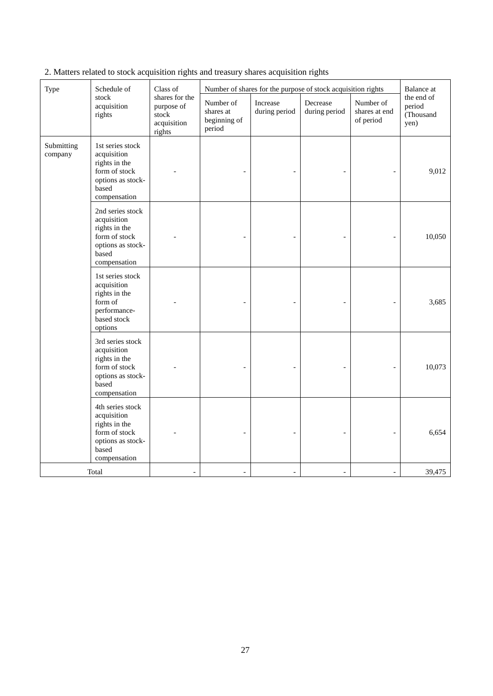| Type                  | Schedule of<br>stock<br>acquisition<br>rights                                                                   | Class of<br>shares for the<br>purpose of<br>stock<br>acquisition<br>rights | Number of<br>shares at<br>beginning of<br>period | Increase<br>during period | Number of shares for the purpose of stock acquisition rights<br>Decrease<br>during period | Number of<br>shares at end<br>of period | <b>Balance</b> at<br>the end of<br>period<br>(Thousand<br>yen) |
|-----------------------|-----------------------------------------------------------------------------------------------------------------|----------------------------------------------------------------------------|--------------------------------------------------|---------------------------|-------------------------------------------------------------------------------------------|-----------------------------------------|----------------------------------------------------------------|
| Submitting<br>company | 1st series stock<br>acquisition<br>rights in the<br>form of stock<br>options as stock-<br>based<br>compensation |                                                                            |                                                  |                           |                                                                                           |                                         | 9,012                                                          |
|                       | 2nd series stock<br>acquisition<br>rights in the<br>form of stock<br>options as stock-<br>based<br>compensation |                                                                            |                                                  |                           |                                                                                           |                                         | 10,050                                                         |
|                       | 1st series stock<br>acquisition<br>rights in the<br>form of<br>performance-<br>based stock<br>options           |                                                                            |                                                  |                           |                                                                                           |                                         | 3,685                                                          |
|                       | 3rd series stock<br>acquisition<br>rights in the<br>form of stock<br>options as stock-<br>based<br>compensation |                                                                            |                                                  |                           |                                                                                           |                                         | 10,073                                                         |
|                       | 4th series stock<br>acquisition<br>rights in the<br>form of stock<br>options as stock-<br>based<br>compensation |                                                                            |                                                  |                           |                                                                                           |                                         | 6,654                                                          |
|                       | Total                                                                                                           |                                                                            | $\blacksquare$                                   | $\blacksquare$            | $\overline{\phantom{a}}$                                                                  | $\overline{\phantom{a}}$                | 39,475                                                         |

2. Matters related to stock acquisition rights and treasury shares acquisition rights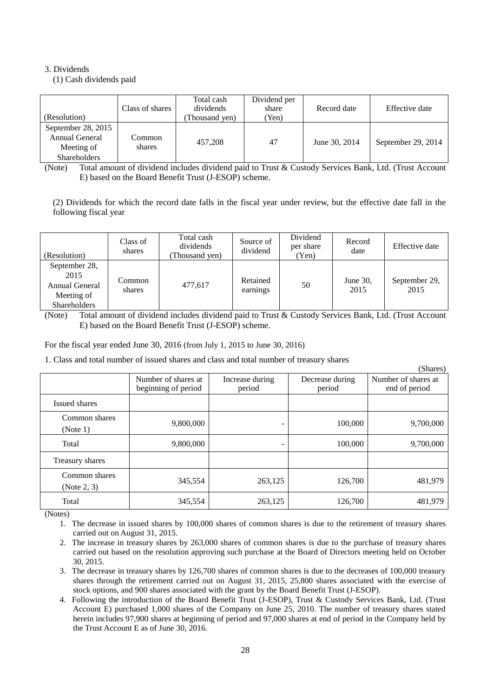# 3. Dividends

(1) Cash dividends paid

| (Resolution)                                                              | Class of shares  | Total cash<br>dividends<br>Thousand yen) | Dividend per<br>share<br>Yen) | Record date   | Effective date     |
|---------------------------------------------------------------------------|------------------|------------------------------------------|-------------------------------|---------------|--------------------|
| September 28, 2015<br>Annual General<br>Meeting of<br><b>Shareholders</b> | Common<br>shares | 457,208                                  | 47                            | June 30, 2014 | September 29, 2014 |

(Note) Total amount of dividend includes dividend paid to Trust & Custody Services Bank, Ltd. (Trust Account E) based on the Board Benefit Trust (J-ESOP) scheme.

(2) Dividends for which the record date falls in the fiscal year under review, but the effective date fall in the following fiscal year

| (Resolution)                                                                 | Class of<br>shares | Total cash<br>dividends<br>Thousand yen) | Source of<br>dividend | Dividend<br>per share<br>Yen) | Record<br>date   | Effective date        |
|------------------------------------------------------------------------------|--------------------|------------------------------------------|-----------------------|-------------------------------|------------------|-----------------------|
| September 28,<br>2015<br>Annual General<br>Meeting of<br><b>Shareholders</b> | Common<br>shares   | 477,617                                  | Retained<br>earnings  | 50                            | June 30,<br>2015 | September 29,<br>2015 |

(Note) Total amount of dividend includes dividend paid to Trust & Custody Services Bank, Ltd. (Trust Account E) based on the Board Benefit Trust (J-ESOP) scheme.

For the fiscal year ended June 30, 2016 (from July 1, 2015 to June 30, 2016)

1. Class and total number of issued shares and class and total number of treasury shares

|                              |                                            |                           |                           | (Shares)                             |
|------------------------------|--------------------------------------------|---------------------------|---------------------------|--------------------------------------|
|                              | Number of shares at<br>beginning of period | Increase during<br>period | Decrease during<br>period | Number of shares at<br>end of period |
| Issued shares                |                                            |                           |                           |                                      |
| Common shares<br>(Note 1)    | 9,800,000                                  | -                         | 100,000                   | 9,700,000                            |
| Total                        | 9,800,000                                  |                           | 100,000                   | 9,700,000                            |
| Treasury shares              |                                            |                           |                           |                                      |
| Common shares<br>(Note 2, 3) | 345,554                                    | 263,125                   | 126,700                   | 481,979                              |
| Total                        | 345,554                                    | 263,125                   | 126,700                   | 481,979                              |

(Notes)

1. The decrease in issued shares by 100,000 shares of common shares is due to the retirement of treasury shares carried out on August 31, 2015.

2. The increase in treasury shares by 263,000 shares of common shares is due to the purchase of treasury shares carried out based on the resolution approving such purchase at the Board of Directors meeting held on October 30, 2015.

3. The decrease in treasury shares by 126,700 shares of common shares is due to the decreases of 100,000 treasury shares through the retirement carried out on August 31, 2015, 25,800 shares associated with the exercise of stock options, and 900 shares associated with the grant by the Board Benefit Trust (J-ESOP).

4. Following the introduction of the Board Benefit Trust (J-ESOP), Trust & Custody Services Bank, Ltd. (Trust Account E) purchased 1,000 shares of the Company on June 25, 2010. The number of treasury shares stated herein includes 97,900 shares at beginning of period and 97,000 shares at end of period in the Company held by the Trust Account E as of June 30, 2016.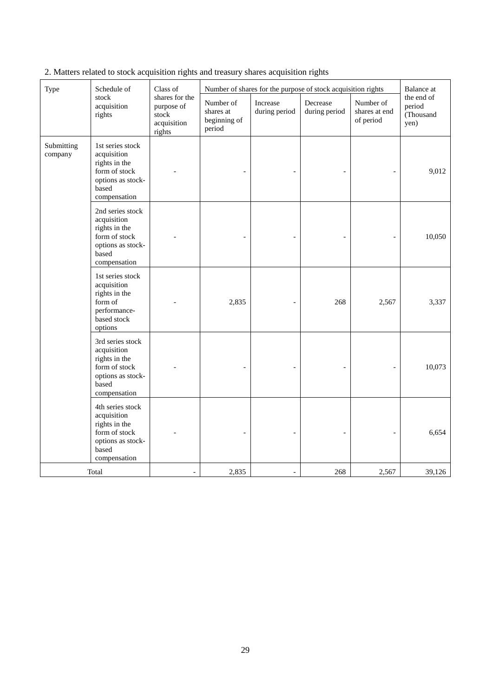| Type                  | Schedule of<br>stock<br>acquisition<br>rights                                                                   | Class of<br>shares for the<br>purpose of<br>stock<br>acquisition<br>rights | Number of<br>shares at<br>beginning of<br>period | Increase<br>during period | Number of shares for the purpose of stock acquisition rights<br>Decrease<br>during period | Number of<br>shares at end<br>of period | Balance at<br>the end of<br>period<br>(Thousand<br>yen) |
|-----------------------|-----------------------------------------------------------------------------------------------------------------|----------------------------------------------------------------------------|--------------------------------------------------|---------------------------|-------------------------------------------------------------------------------------------|-----------------------------------------|---------------------------------------------------------|
| Submitting<br>company | 1st series stock<br>acquisition<br>rights in the<br>form of stock<br>options as stock-<br>based<br>compensation |                                                                            |                                                  |                           |                                                                                           |                                         | 9,012                                                   |
|                       | 2nd series stock<br>acquisition<br>rights in the<br>form of stock<br>options as stock-<br>based<br>compensation |                                                                            |                                                  |                           |                                                                                           |                                         | 10,050                                                  |
|                       | 1st series stock<br>acquisition<br>rights in the<br>form of<br>performance-<br>based stock<br>options           |                                                                            | 2,835                                            | $\overline{\phantom{a}}$  | 268                                                                                       | 2,567                                   | 3,337                                                   |
|                       | 3rd series stock<br>acquisition<br>rights in the<br>form of stock<br>options as stock-<br>based<br>compensation |                                                                            |                                                  |                           |                                                                                           |                                         | 10,073                                                  |
|                       | 4th series stock<br>acquisition<br>rights in the<br>form of stock<br>options as stock-<br>based<br>compensation |                                                                            |                                                  |                           |                                                                                           |                                         | 6,654                                                   |
|                       | Total                                                                                                           |                                                                            | 2,835                                            | $\overline{\phantom{a}}$  | 268                                                                                       | 2,567                                   | 39,126                                                  |

2. Matters related to stock acquisition rights and treasury shares acquisition rights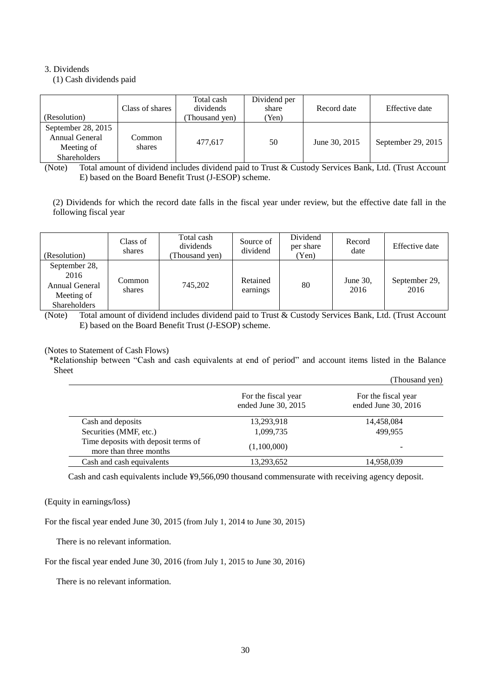# 3. Dividends

(1) Cash dividends paid

| (Resolution)                                                              | Class of shares  | Total cash<br>dividends<br>Thousand yen) | Dividend per<br>share<br>Yen) | Record date   | Effective date     |
|---------------------------------------------------------------------------|------------------|------------------------------------------|-------------------------------|---------------|--------------------|
| September 28, 2015<br>Annual General<br>Meeting of<br><b>Shareholders</b> | Common<br>shares | 477.617                                  | 50                            | June 30, 2015 | September 29, 2015 |

(Note) Total amount of dividend includes dividend paid to Trust & Custody Services Bank, Ltd. (Trust Account E) based on the Board Benefit Trust (J-ESOP) scheme.

(2) Dividends for which the record date falls in the fiscal year under review, but the effective date fall in the following fiscal year

| (Resolution)                                                          | Class of<br>shares | Total cash<br>dividends<br>Thousand yen) | Source of<br>dividend | Dividend<br>per share<br>Yen) | Record<br>date   | Effective date        |
|-----------------------------------------------------------------------|--------------------|------------------------------------------|-----------------------|-------------------------------|------------------|-----------------------|
| September 28,<br>2016<br>Annual General<br>Meeting of<br>Shareholders | Common<br>shares   | 745,202                                  | Retained<br>earnings  | 80                            | June 30,<br>2016 | September 29,<br>2016 |

(Note) Total amount of dividend includes dividend paid to Trust & Custody Services Bank, Ltd. (Trust Account E) based on the Board Benefit Trust (J-ESOP) scheme.

# (Notes to Statement of Cash Flows)

\*Relationship between "Cash and cash equivalents at end of period" and account items listed in the Balance Sheet (Thousand yen)

|                                                               |                                            | THUUSAHU YUH)                              |
|---------------------------------------------------------------|--------------------------------------------|--------------------------------------------|
|                                                               | For the fiscal year<br>ended June 30, 2015 | For the fiscal year<br>ended June 30, 2016 |
| Cash and deposits                                             | 13,293,918                                 | 14,458,084                                 |
| Securities (MMF, etc.)                                        | 1,099,735                                  | 499.955                                    |
| Time deposits with deposit terms of<br>more than three months | (1,100,000)                                | $\overline{\phantom{0}}$                   |
| Cash and cash equivalents                                     | 13,293,652                                 | 14,958,039                                 |

Cash and cash equivalents include ¥9,566,090 thousand commensurate with receiving agency deposit.

# (Equity in earnings/loss)

For the fiscal year ended June 30, 2015 (from July 1, 2014 to June 30, 2015)

There is no relevant information.

For the fiscal year ended June 30, 2016 (from July 1, 2015 to June 30, 2016)

There is no relevant information.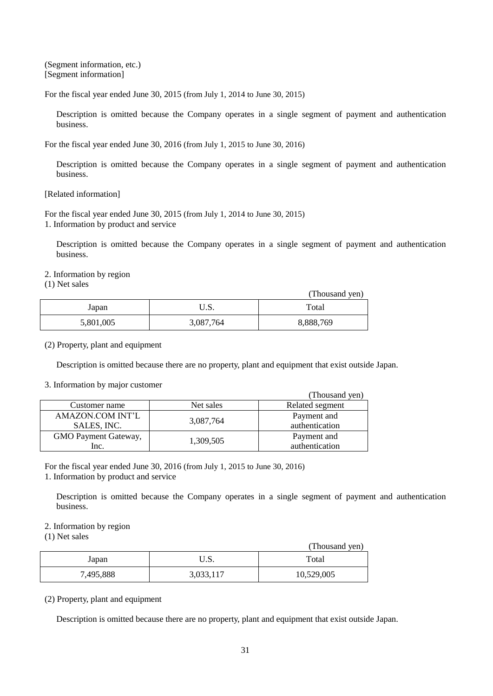(Segment information, etc.) [Segment information]

For the fiscal year ended June 30, 2015 (from July 1, 2014 to June 30, 2015)

Description is omitted because the Company operates in a single segment of payment and authentication business.

For the fiscal year ended June 30, 2016 (from July 1, 2015 to June 30, 2016)

Description is omitted because the Company operates in a single segment of payment and authentication business.

[Related information]

For the fiscal year ended June 30, 2015 (from July 1, 2014 to June 30, 2015) 1. Information by product and service

Description is omitted because the Company operates in a single segment of payment and authentication business.

2. Information by region

(1) Net sales

|           |           | (Thousand yen) |
|-----------|-----------|----------------|
| Japan     | ບ.ນ.      | Total          |
| 5,801,005 | 3,087,764 | 8,888,769      |

(2) Property, plant and equipment

Description is omitted because there are no property, plant and equipment that exist outside Japan.

#### 3. Information by major customer

|                      |           | (Thousand yen)  |
|----------------------|-----------|-----------------|
| Customer name        | Net sales | Related segment |
| AMAZON.COM INT'L     |           | Payment and     |
| SALES, INC.          | 3,087,764 | authentication  |
| GMO Payment Gateway, |           | Payment and     |
| Inc.                 | 1,309,505 | authentication  |

For the fiscal year ended June 30, 2016 (from July 1, 2015 to June 30, 2016)

1. Information by product and service

Description is omitted because the Company operates in a single segment of payment and authentication business.

# 2. Information by region

(1) Net sales

|           |           | (Thousand yen) |
|-----------|-----------|----------------|
| Japan     | ∪.∪.      | Total          |
| 7,495,888 | 3,033,117 | 10,529,005     |

(2) Property, plant and equipment

Description is omitted because there are no property, plant and equipment that exist outside Japan.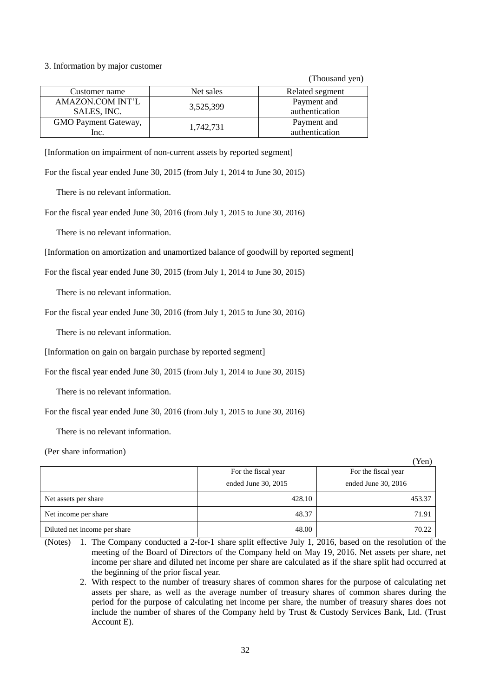### 3. Information by major customer

(Thousand yen)

| Customer name        | Net sales | Related segment |
|----------------------|-----------|-----------------|
| AMAZON.COM INT'L     |           | Payment and     |
| SALES, INC.          | 3,525,399 | authentication  |
| GMO Payment Gateway, |           | Payment and     |
| Inc.                 | 1,742,731 | authentication  |

[Information on impairment of non-current assets by reported segment]

For the fiscal year ended June 30, 2015 (from July 1, 2014 to June 30, 2015)

There is no relevant information.

For the fiscal year ended June 30, 2016 (from July 1, 2015 to June 30, 2016)

There is no relevant information.

[Information on amortization and unamortized balance of goodwill by reported segment]

For the fiscal year ended June 30, 2015 (from July 1, 2014 to June 30, 2015)

There is no relevant information.

For the fiscal year ended June 30, 2016 (from July 1, 2015 to June 30, 2016)

There is no relevant information.

[Information on gain on bargain purchase by reported segment]

For the fiscal year ended June 30, 2015 (from July 1, 2014 to June 30, 2015)

There is no relevant information.

For the fiscal year ended June 30, 2016 (from July 1, 2015 to June 30, 2016)

There is no relevant information.

(Per share information)

|                              |                     | Yen)                |
|------------------------------|---------------------|---------------------|
|                              | For the fiscal year | For the fiscal year |
|                              | ended June 30, 2015 | ended June 30, 2016 |
| Net assets per share         | 428.10              | 453.37              |
| Net income per share         | 48.37               | 71.91               |
| Diluted net income per share | 48.00               | 70.22               |

(Notes) 1. The Company conducted a 2-for-1 share split effective July 1, 2016, based on the resolution of the meeting of the Board of Directors of the Company held on May 19, 2016. Net assets per share, net income per share and diluted net income per share are calculated as if the share split had occurred at the beginning of the prior fiscal year.

2. With respect to the number of treasury shares of common shares for the purpose of calculating net assets per share, as well as the average number of treasury shares of common shares during the period for the purpose of calculating net income per share, the number of treasury shares does not include the number of shares of the Company held by Trust & Custody Services Bank, Ltd. (Trust Account E).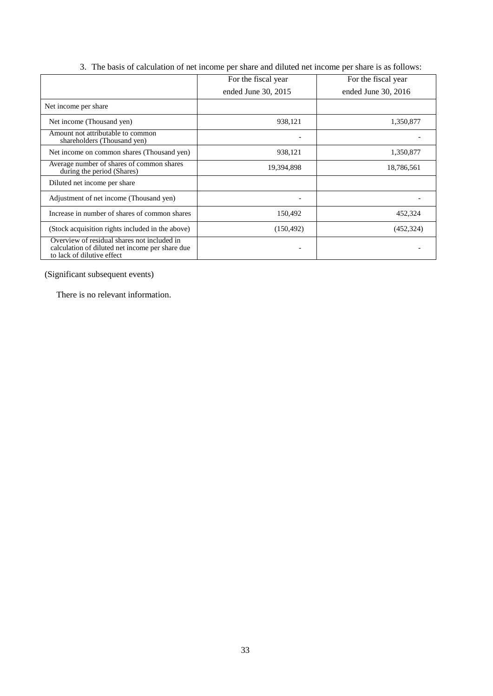|                                                                                                                              | For the fiscal year | For the fiscal year   |
|------------------------------------------------------------------------------------------------------------------------------|---------------------|-----------------------|
|                                                                                                                              | ended June 30, 2015 | ended June $30, 2016$ |
| Net income per share                                                                                                         |                     |                       |
| Net income (Thousand yen)                                                                                                    | 938,121             | 1,350,877             |
| Amount not attributable to common<br>shareholders (Thousand yen)                                                             |                     |                       |
| Net income on common shares (Thousand yen)                                                                                   | 938,121             | 1,350,877             |
| Average number of shares of common shares<br>during the period (Shares)                                                      | 19,394,898          | 18,786,561            |
| Diluted net income per share                                                                                                 |                     |                       |
| Adjustment of net income (Thousand yen)                                                                                      |                     |                       |
| Increase in number of shares of common shares                                                                                | 150,492             | 452,324               |
| (Stock acquisition rights included in the above)                                                                             | (150, 492)          | (452, 324)            |
| Overview of residual shares not included in<br>calculation of diluted net income per share due<br>to lack of dilutive effect |                     |                       |

3. The basis of calculation of net income per share and diluted net income per share is as follows:

(Significant subsequent events)

There is no relevant information.